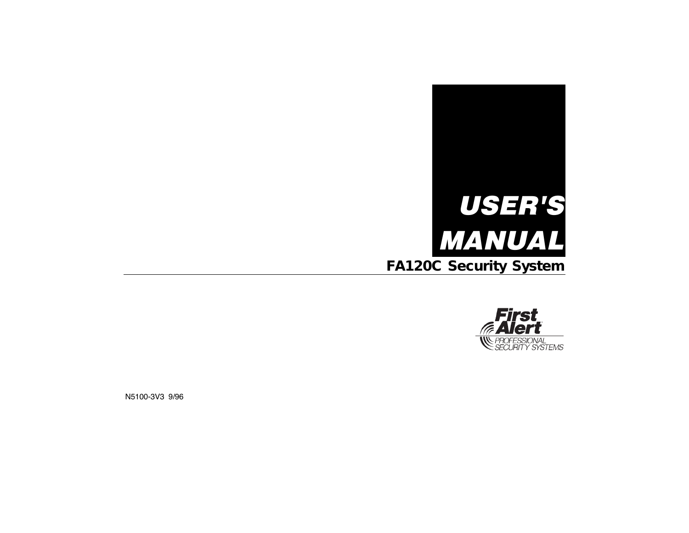



N5100-3V3 9/96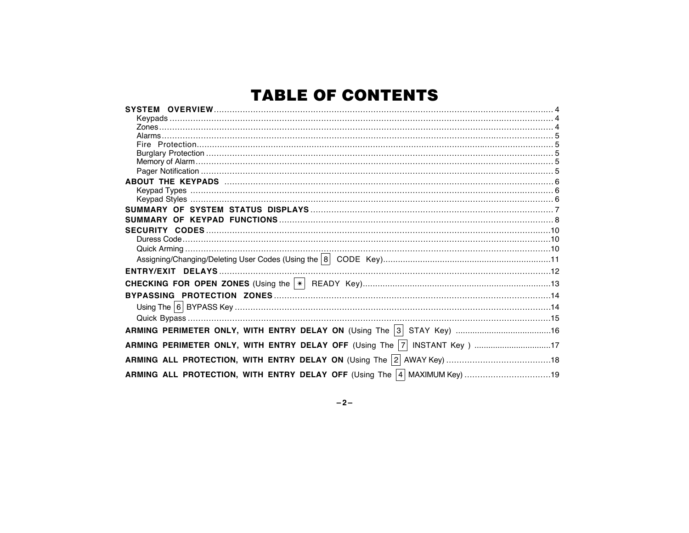# **TABLE OF CONTENTS**

| ABOUT THE KEYPADS www.communication.communication.com/interaction.com/interaction.com/interaction.com |  |
|-------------------------------------------------------------------------------------------------------|--|
|                                                                                                       |  |
|                                                                                                       |  |
|                                                                                                       |  |
|                                                                                                       |  |
|                                                                                                       |  |
|                                                                                                       |  |
|                                                                                                       |  |
|                                                                                                       |  |
|                                                                                                       |  |
|                                                                                                       |  |
|                                                                                                       |  |
|                                                                                                       |  |
|                                                                                                       |  |
| ARMING PERIMETER ONLY, WITH ENTRY DELAY ON (Using The 3 STAY Key) 16                                  |  |
| ARMING PERIMETER ONLY, WITH ENTRY DELAY OFF (Using The  7  INSTANT Key) 17                            |  |
|                                                                                                       |  |
|                                                                                                       |  |

 $-2-$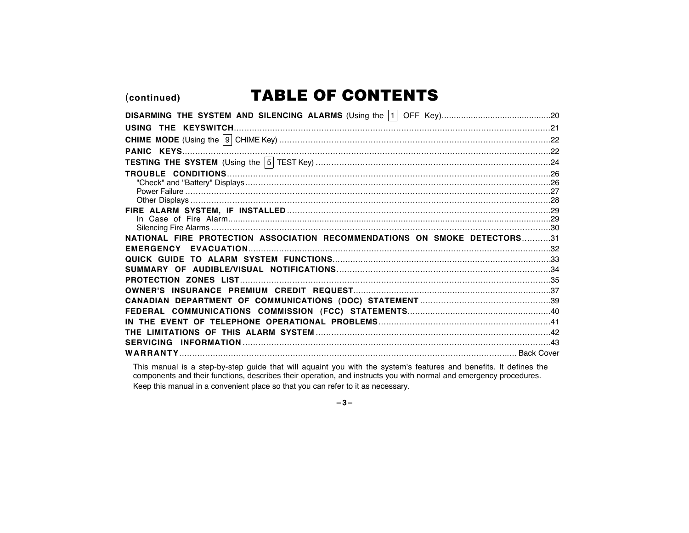(continued)

# **TABLE OF CONTENTS**

| NATIONAL FIRE PROTECTION ASSOCIATION RECOMMENDATIONS ON SMOKE DETECTORS31 |  |
|---------------------------------------------------------------------------|--|
|                                                                           |  |
|                                                                           |  |
|                                                                           |  |
|                                                                           |  |
|                                                                           |  |
|                                                                           |  |
|                                                                           |  |
|                                                                           |  |
|                                                                           |  |
|                                                                           |  |
|                                                                           |  |
|                                                                           |  |

This manual is a step-by-step guide that will aquaint you with the system's features and benefits. It defines the components and their functions, describes their operation, and instructs you with normal and emergency proce Keep this manual in a convenient place so that you can refer to it as necessary.

 $-3-$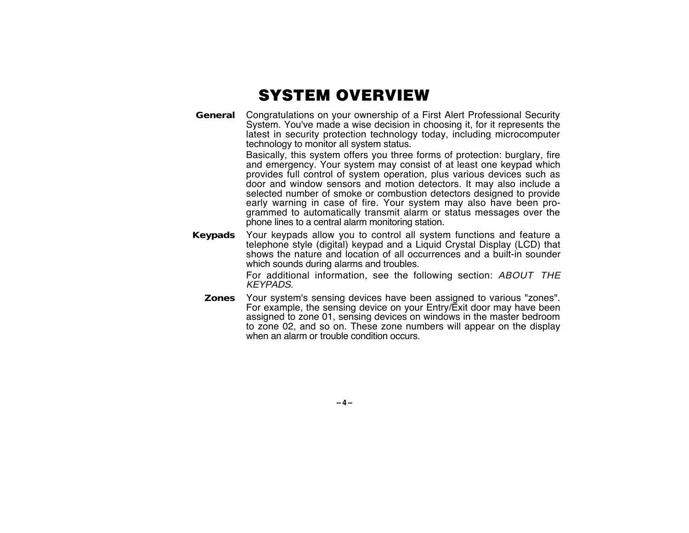### SYSTEM OVERVIEW

**General** Congratulations on your ownership of a First Alert Professional Security System. You've made a wise decision in choosing it, for it represents the latest in security protection technology today, including microcomputer technology to monitor all system status.

> Basically, this system offers you three forms of protection: burglary, fire and emergency. Your system may consist of at least one keypad which provides full control of system operation, plus various devices such as door and window sensors and motion detectors. It may also include a selected number of smoke or combustion detectors designed to provide early warning in case of fire. Your system may also have been programmed to automatically transmit alarm or status messages over the phone lines to a central alarm monitoring station.

**Keypads** Your keypads allow you to control all system functions and feature a telephone style (digital) keypad and a Liquid Crystal Display (LCD) that shows the nature and location of all occurrences and a built-in sounder which sounds during alarms and troubles.

> For additional information, see the following section: ABOUT THE KEYPADS.

**Zones** Your system's sensing devices have been assigned to various "zones". For example, the sensing device on your Entry/Exit door may have been assigned to zone 01, sensing devices on windows in the master bedroom to zone 02, and so on. These zone numbers will appear on the display when an alarm or trouble condition occurs.

**–4–**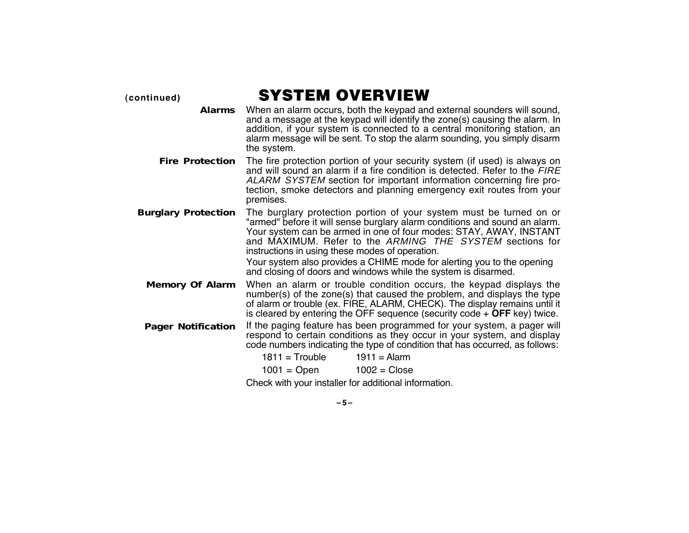**(continued)** SYSTEM OVERVIEW

- **Alarms** When an alarm occurs, both the keypad and external sounders will sound, and a message at the keypad will identify the zone(s) causing the alarm. In addition, if your system is connected to a central monitoring station, an alarm message will be sent. To stop the alarm sounding, you simply disarm the system.
- **Fire Protection** The fire protection portion of your security system (if used) is always on and will sound an alarm if a fire condition is detected. Refer to the FIRE ALARM SYSTEM section for important information concerning fire protection, smoke detectors and planning emergency exit routes from your premises.
- **Burglary Protection** The burglary protection portion of your system must be turned on or "armed" before it will sense burglary alarm conditions and sound an alarm. Your system can be armed in one of four modes: STAY, AWAY, INSTANT and MAXIMUM. Refer to the ARMING THE SYSTEM sections for instructions in using these modes of operation.

Your system also provides a CHIME mode for alerting you to the opening and closing of doors and windows while the system is disarmed.

- **Memory Of Alarm** When an alarm or trouble condition occurs, the keypad displays the number(s) of the zone(s) that caused the problem, and displays the type of alarm or trouble (ex. FIRE, ALARM, CHECK). The display remains until it is cleared by entering the OFF sequence (security code + **OFF** key) twice.
- **Pager Notification** If the paging feature has been programmed for your system, a pager will respond to certain conditions as they occur in your system, and display code numbers indicating the type of condition that has occurred, as follows:

 $1811 =$ Trouble  $1911 =$ Alarm

 $1001 =$  Open  $1002 =$  Close

Check with your installer for additional information.

**–5–**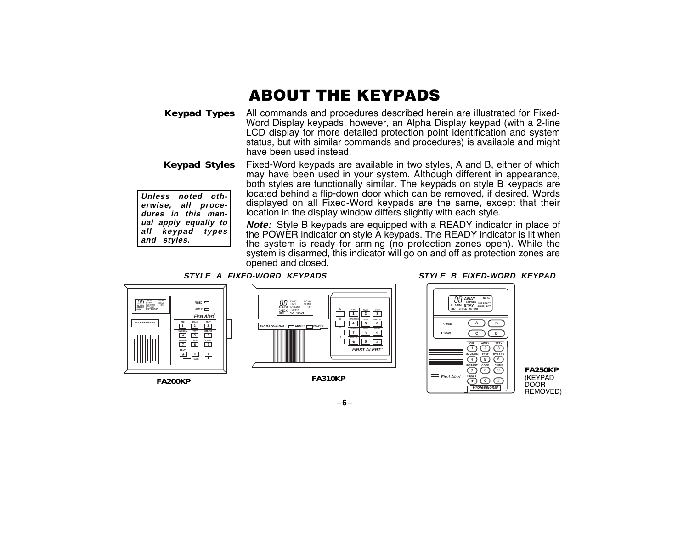# ABOUT THE KEYPADS

**Keypad Types** All commands and procedures described herein are illustrated for Fixed-Word Display keypads, however, an Alpha Display keypad (with a 2-line LCD display for more detailed protection point identification and system status, but with similar commands and procedures) is available and might have been used instead.

**Keypad Styles Unless noted otherwise, all procedures in this man-**Fixed-Word keypads are available in two styles, A and B, either of which may have been used in your system. Although different in appearance, both styles are functionally similar. The keypads on style B keypads are located behind a flip-down door which can be removed, if desired. Words displayed on all Fixed-Word keypads are the same, except that their location in the display window differs slightly with each style.

> **Note:** Style B keypads are equipped with a READY indicator in place of the POWER indicator on style A keypads. The READY indicator is lit when the system is ready for arming (no protection zones open). While the system is disarmed, this indicator will go on and off as protection zones are opened and closed.

#### **STYLE A FIXED-WORD KEYPADS STYLE B FIXED-WORD KEYPAD**



**FA200KP**

**ual apply equally to all keypad types**

**and styles.**



**FA310KP**



**FA250KP** (KEYPAD DOOR REMOVED)

**–6–**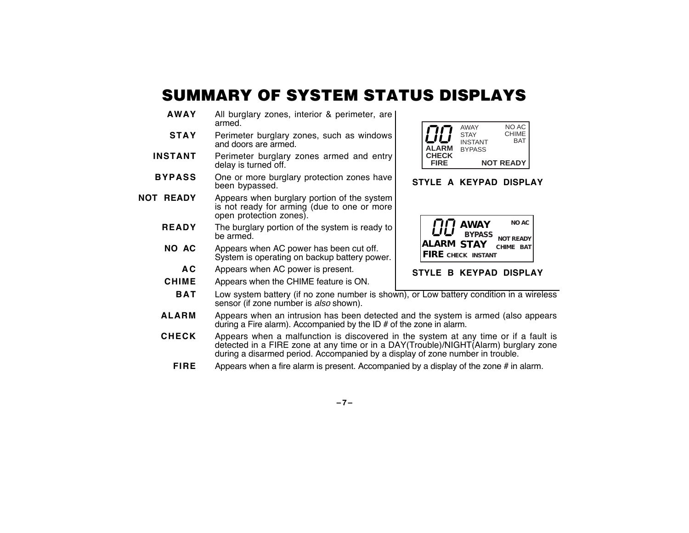# SUMMARY OF SYSTEM STATUS DISPLAYS

- **AWAY** All burglary zones, interior & perimeter, are armed.
- **STAY** Perimeter burglary zones, such as windows and doors are armed.
- **INSTANT** Perimeter burglary zones armed and entry delay is turned off.
- **BYPASS** One or more burglary protection zones have been bypassed.
- **NOT READY** Appears when burglary portion of the system is not ready for arming (due to one or more open protection zones).
	- **READY** The burglary portion of the system is ready to be armed.
	- **NO AC** Appears when AC power has been cut off. System is operating on backup battery power.
		- **A C** Appears when AC power is present.
	- **CHIME** Appears when the CHIME feature is ON.



- **ALARM** Appears when an intrusion has been detected and the system is armed (also appears during a Fire alarm). Accompanied by the ID # of the zone in alarm.
- **CHECK** Appears when a malfunction is discovered in the system at any time or if a fault is detected in a FIRE zone at any time or in a DAY(Trouble)/NIGHT(Alarm) burglary zone during a disarmed period. Accompanied by a display of zone number in trouble.
	- **FIRE** Appears when a fire alarm is present. Accompanied by a display of the zone # in alarm.



### **STYLE A KEYPAD DISPLAY**



### **STYLE B KEYPAD DISPLAY**

### **–7–**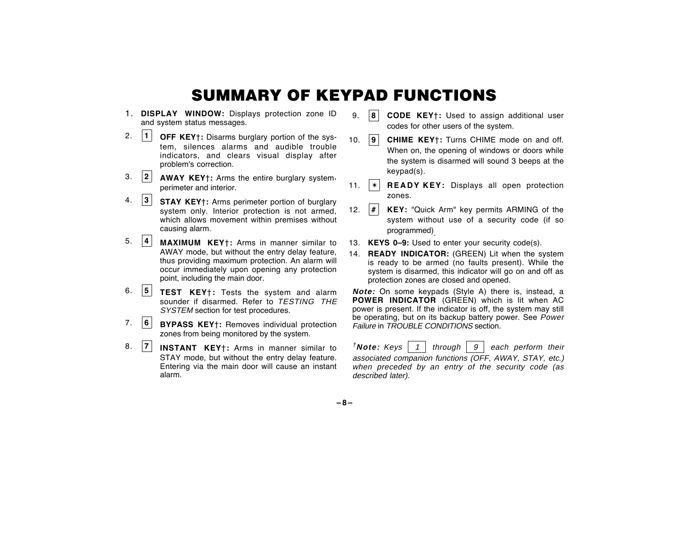### SUMMARY OF KEYPAD FUNCTIONS

- 1. **DISPLAY WINDOW:** Displays protection zone ID and system status messages.
- 2. **<sup>1</sup> OFF KEY**†**:** Disarms burglary portion of the system, silences alarms and audible trouble indicators, and clears visual display after problem's correction.
- 3. **<sup>2</sup> AWAY KEY**†**:** Arms the entire burglary system, perimeter and interior.
- 4. **<sup>3</sup> STAY KEY**†**:** Arms perimeter portion of burglary system only. Interior protection is not armed, which allows movement within premises without causing alarm.
- 5. **<sup>4</sup> MAXIMUM KEY**†**:** Arms in manner similar to AWAY mode, but without the entry delay feature, thus providing maximum protection. An alarm will occur immediately upon opening any protection point, including the main door.
- 6. **<sup>5</sup> TEST KEY**†**:** Tests the system and alarm sounder if disarmed. Refer to TESTING THE SYSTEM section for test procedures.
- 7. **<sup>6</sup> BYPASS KEY**†**:** Removes individual protection zones from being monitored by the system.
- 8. **<sup>7</sup> INSTANT KEY**†**:** Arms in manner similar to STAY mode, but without the entry delay feature. Entering via the main door will cause an instant alarm.
- 9. **8 CODE KEY**†**:** Used to assign additional user codes for other users of the system.
- 10. **9 CHIME KEY**†**:** Turns CHIME mode on and off. When on, the opening of windows or doors while the system is disarmed will sound 3 beeps at the keypad(s).
- 11. ✴ **READY KEY:** Displays all open protection zones.
- 12. **# KEY:** "Quick Arm" key permits ARMING of the system without use of a security code (if so programmed)
- 13. **KEYS 0–9:** Used to enter your security code(s).
- 14. **READY INDICATOR:** (GREEN) Lit when the system is ready to be armed (no faults present). While the system is disarmed, this indicator will go on and off as protection zones are closed and opened.

**Note:** On some keypads (Style A) there is, instead, a **POWER INDICATOR** (GREEN) which is lit when AC power is present. If the indicator is off, the system may still be operating, but on its backup battery power. See Power Failure in TROUBLE CONDITIONS section.

 $\tau$ **Note:** Keys  $\vert$  1  $\vert$  through  $\vert$  9  $\vert$  each perform their associated companion functions (OFF, AWAY, STAY, etc.) when preceded by an entry of the security code (as described later).

**–8–**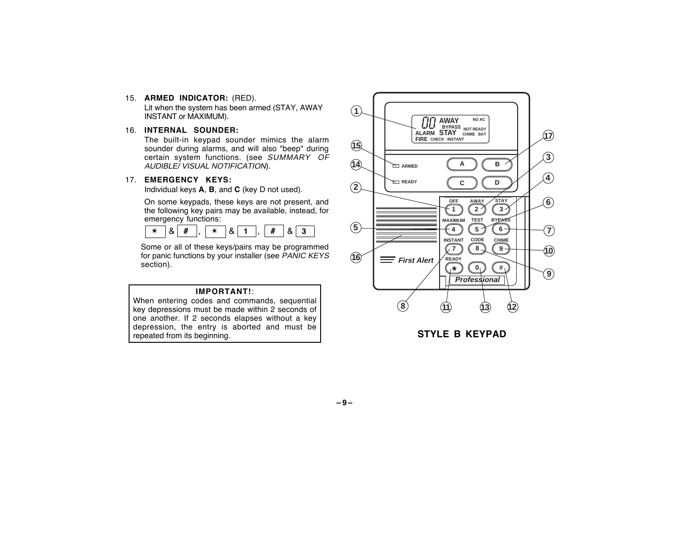- 15. **ARMED INDICATOR:** (RED). Lit when the system has been armed (STAY, AWAY INSTANT or MAXIMUM).
- 16. **INTERNAL SOUNDER:**

The built-in keypad sounder mimics the alarm sounder during alarms, and will also "beep" during certain system functions. (see SUMMARY OF AUDIBLE/ VISUAL NOTIFICATION).

### 17. **EMERGENCY KEYS:**

Individual keys **A**, **B**, and **C** (key D not used).

On some keypads, these keys are not present, and the following key pairs may be available, instead, for emergency functions:



Some or all of these keys/pairs may be programmed for panic functions by your installer (see PANIC KEYS section).

#### **IMPORTANT!**:

When entering codes and commands, sequential key depressions must be made within 2 seconds of one another. If 2 seconds elapses without a key depression, the entry is aborted and must be repeated from its beginning.



**STYLE B KEYPAD**

**–9–**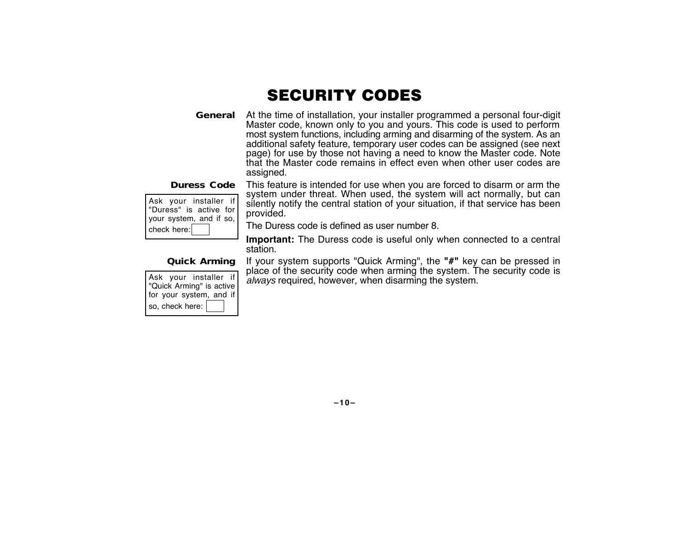### SECURITY CODES

**General** At the time of installation, your installer programmed a personal four-digit Master code, known only to you and yours. This code is used to perform most system functions, including arming and disarming of the system. As an additional safety feature, temporary user codes can be assigned (see next page) for use by those not having a need to know the Master code. Note that the Master code remains in effect even when other user codes are assigned.

| Ask your installer if   |
|-------------------------|
| "Duress" is active for  |
| your system, and if so, |
| check here:             |

**Duress Code** This feature is intended for use when you are forced to disarm or arm the system under threat. When used, the system will act normally, but can silently notify the central station of your situation, if that service has been provided.

The Duress code is defined as user number 8.

**Important:** The Duress code is useful only when connected to a central station.

### **Quick Arming**

| Ask your installer if<br>"Quick Arming" is active |
|---------------------------------------------------|
| for your system, and if                           |
| so, check here:                                   |

If your system supports "Quick Arming", the **"#"** key can be pressed in place of the security code when arming the system. The security code is always required, however, when disarming the system.

#### **–10–**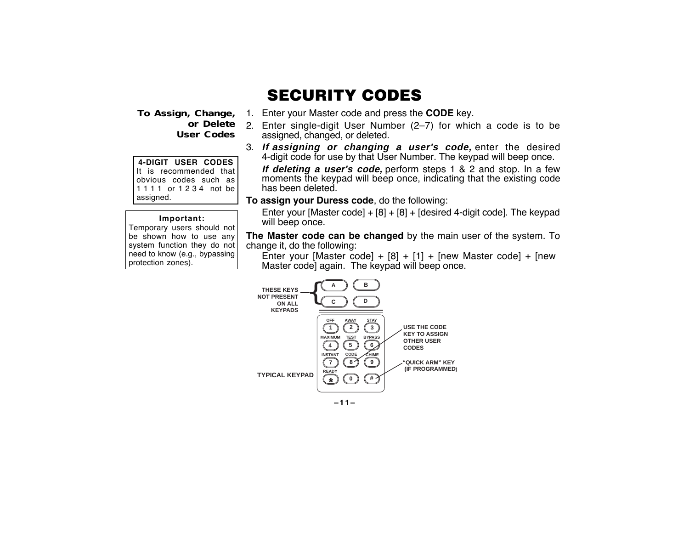**To Assign, Change, User Codes**

**4-DIGIT USER CODES** It is recommended that obvious codes such as 1 1 1 1 or 1 2 3 4 not be assigned.

#### **Important:**

Temporary users should not be shown how to use any system function they do not need to know (e.g., bypassing protection zones).

### SECURITY CODES

- 1. Enter your Master code and press the **CODE** key.
- **or Delete** 2. Enter single-digit User Number (2–7) for which a code is to be assigned, changed, or deleted.
	- 3. **If assigning or changing a user's code,** enter the desired 4-digit code for use by that User Number. The keypad will beep once.

**If deleting a user's code,** perform steps 1 & 2 and stop. In a few moments the keypad will beep once, indicating that the existing code has been deleted.

**To assign your Duress code**, do the following:

Enter your [Master code] + [8] + [8] + [desired 4-digit code]. The keypad will beep once.

**The Master code can be changed** by the main user of the system. To change it, do the following:

Enter your [Master code] +  $[8]$  +  $[1]$  + [new Master code] + [new Master code] again. The keypad will beep once.



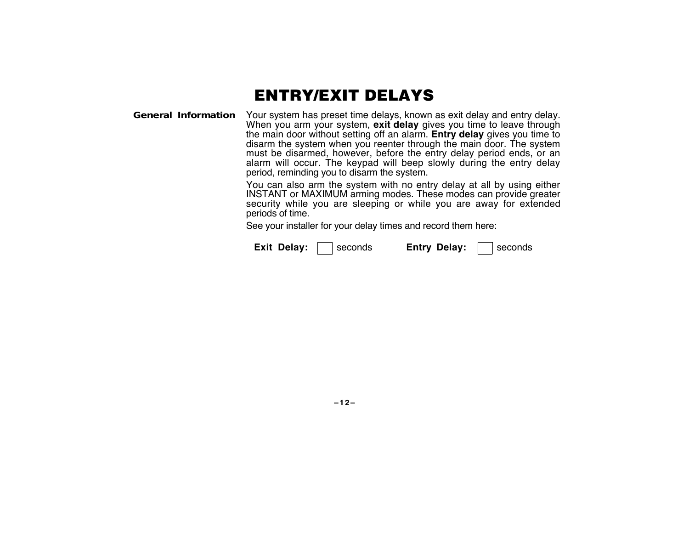# ENTRY/EXIT DELAYS

**General Information** Your system has preset time delays, known as exit delay and entry delay. When you arm your system, **exit delay** gives you time to leave through the main door without setting off an alarm. **Entry delay** gives you time to disarm the system when you reenter through the main door. The system must be disarmed, however, before the entry delay period ends, or an alarm will occur. The keypad will beep slowly during the entry delay period, reminding you to disarm the system.

> You can also arm the system with no entry delay at all by using either INSTANT or MAXIMUM arming modes. These modes can provide greater security while you are sleeping or while you are away for extended periods of time.

See your installer for your delay times and record them here:

| Exit Delay: | ∣ seconds | <b>Entry Delay:</b> |  | ∣ seconds |
|-------------|-----------|---------------------|--|-----------|
|-------------|-----------|---------------------|--|-----------|

**–12–**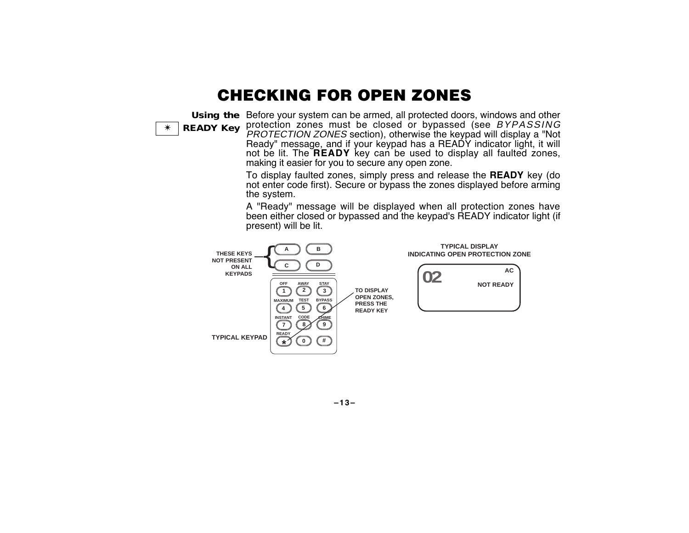### CHECKING FOR OPEN ZONES

**Using the** Before your system can be armed, all protected doors, windows and other ✴ **READY Key** protection zones must be closed or bypassed (see BYPASSING PROTECTION ZONES section), otherwise the keypad will display a "Not Ready" message, and if your keypad has a READY indicator light, it will not be lit. The **READY** key can be used to display all faulted zones, making it easier for you to secure any open zone.

> To display faulted zones, simply press and release the **READY** key (do not enter code first). Secure or bypass the zones displayed before arming the system.

> A "Ready" message will be displayed when all protection zones have been either closed or bypassed and the keypad's READY indicator light (if present) will be lit.



**–13–**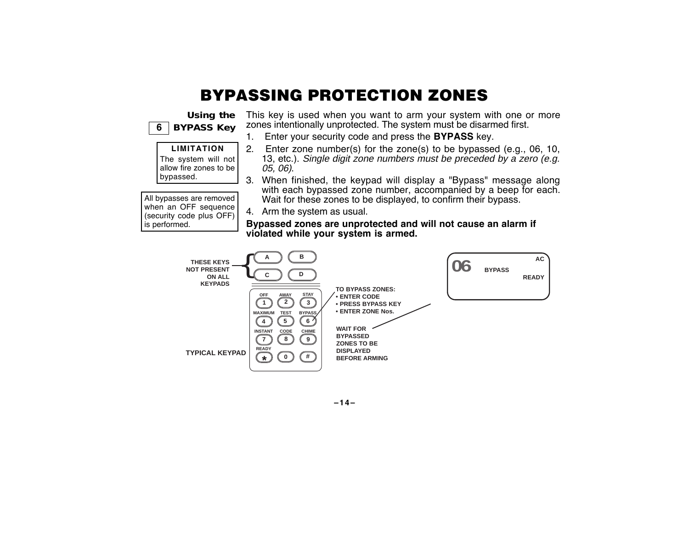# BYPASSING PROTECTION ZONES





**–14–**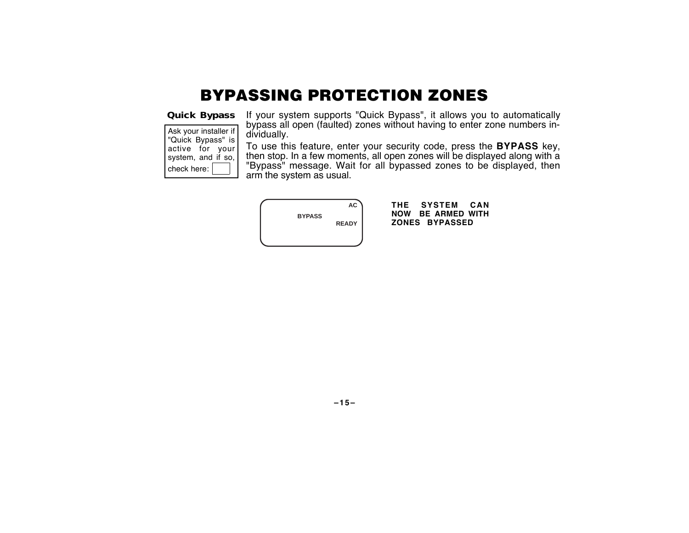# BYPASSING PROTECTION ZONES

**Quick Bypass**

| Ask your installer if |
|-----------------------|
| "Quick Bypass" is     |
| active for your       |
| system, and if so,    |
| check here:           |

If your system supports "Quick Bypass", it allows you to automatically bypass all open (faulted) zones without having to enter zone numbers individually.

To use this feature, enter your security code, press the **BYPASS** key, then stop. In a few moments, all open zones will be displayed along with a "Bypass" message. Wait for all bypassed zones to be displayed, then arm the system as usual.

|               | <b>AC</b>    |
|---------------|--------------|
| <b>BYPASS</b> | <b>READY</b> |
|               |              |

**THE SYSTEM CAN NOW BE ARMED WITH ZONES BYPASSED**

**–15–**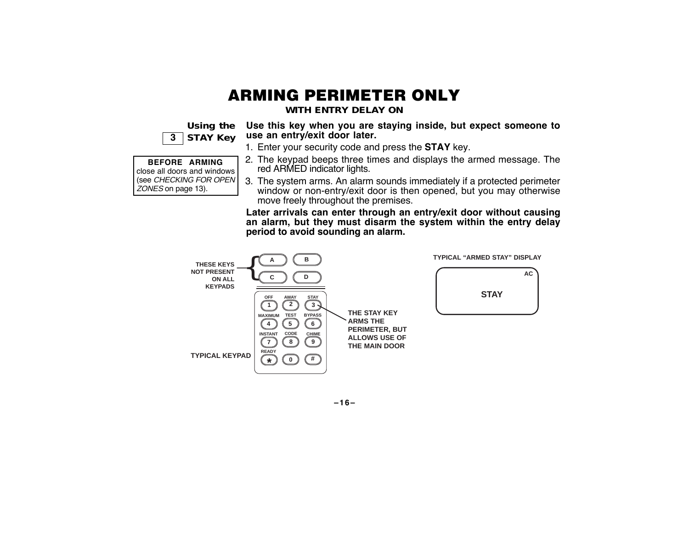# ARMING PERIMETER ONLY

**WITH ENTRY DELAY ON**

| Using the    |
|--------------|
| 3   STAY Key |

ZONES on page 13).

**Use this key when you are staying inside, but expect someone to use an entry/exit door later.**

1. Enter your security code and press the **STAY** key.

| <b>BEFORE ARMING</b>                      | 2. The keypad beeps |  |
|-------------------------------------------|---------------------|--|
| close all doors and windows               | red ARMED indicat   |  |
| (see CHECKING FOR OPEN) 3 The system arms |                     |  |

- s three times and displays the armed message. The tor lights.
- 3. The system arms. An alarm sounds immediately if a protected perimeter window or non-entry/exit door is then opened, but you may otherwise move freely throughout the premises.

**Later arrivals can enter through an entry/exit door without causing an alarm, but they must disarm the system within the entry delay period to avoid sounding an alarm.**



**–16–**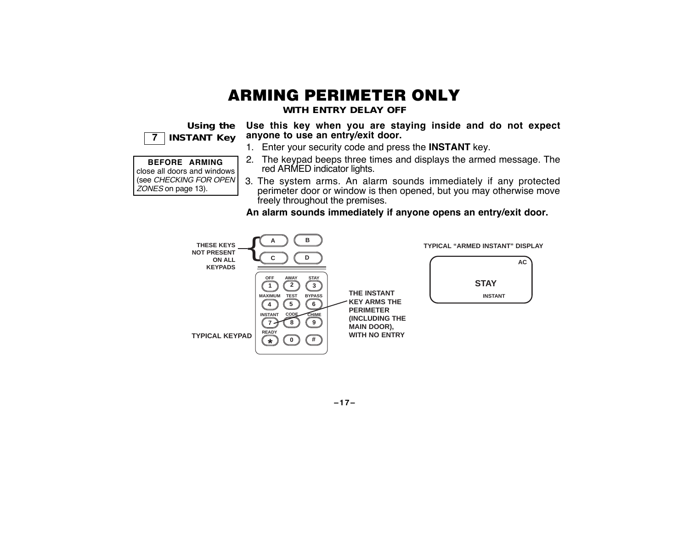# ARMING PERIMETER ONLY

**WITH ENTRY DELAY OFF**

**Using the 7 INSTANT Key**

**BEFORE ARMING** close all doors and windows (see CHECKING FOR OPEN

ZONES on page 13).

**Use this key when you are staying inside and do not expect anyone to use an entry/exit door.**

- 1. Enter your security code and press the **INSTANT** key.
- 2. The keypad beeps three times and displays the armed message. The red ARMED indicator lights.
- 3. The system arms. An alarm sounds immediately if any protected perimeter door or window is then opened, but you may otherwise move freely throughout the premises.

**An alarm sounds immediately if anyone opens an entry/exit door.**



**–17–**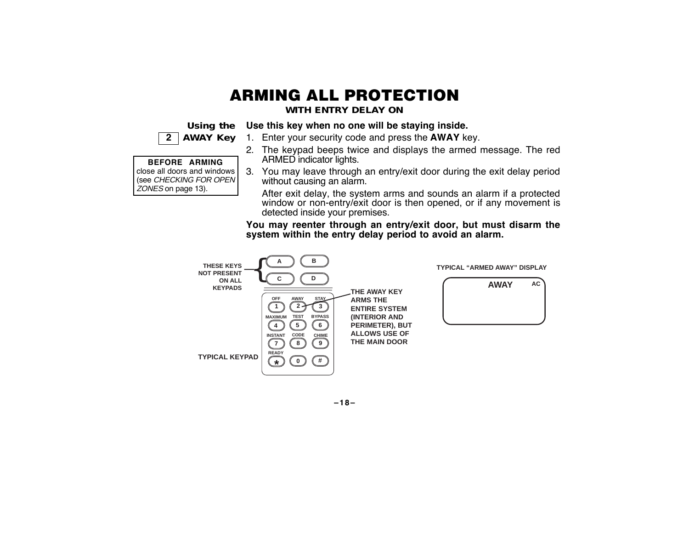# ARMING ALL PROTECTION

**WITH ENTRY DELAY ON**

Using the Use this key when no one will be staying inside.

 **2 AWAY Key**

1. Enter your security code and press the **AWAY** key.

### **BEFORE ARMING**

close all doors and windows (see CHECKING FOR OPEN ZONES on page 13).

- 2. The keypad beeps twice and displays the armed message. The red ARMED indicator lights. 3. You may leave through an entry/exit door during the exit delay period
- without causing an alarm.

After exit delay, the system arms and sounds an alarm if a protected window or non-entry/exit door is then opened, or if any movement is detected inside your premises.

**You may reenter through an entry/exit door, but must disarm the system within the entry delay period to avoid an alarm.**



**–18–**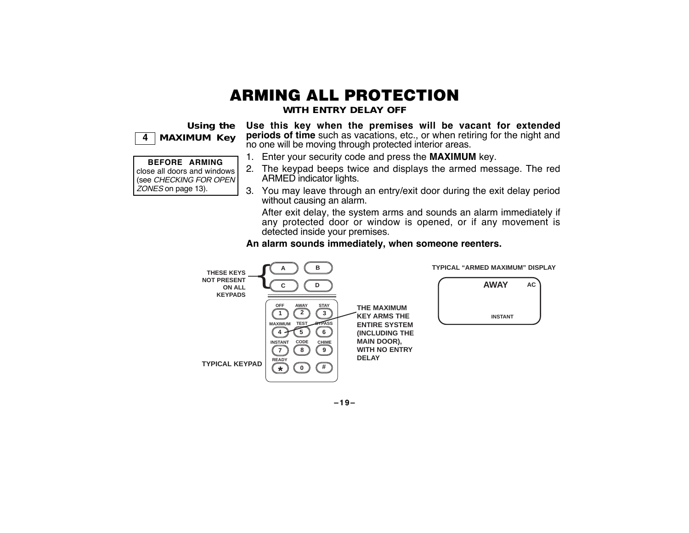# ARMING ALL PROTECTION

**WITH ENTRY DELAY OFF**

**Using the 4 MAXIMUM Key**

**BEFORE ARMING** close all doors and windows (see CHECKING FOR OPEN ZONES on page 13).

**Use this key when the premises will be vacant for extended periods of time** such as vacations, etc., or when retiring for the night and no one will be moving through protected interior areas.

- 1. Enter your security code and press the **MAXIMUM** key.
- 2. The keypad beeps twice and displays the armed message. The red ARMED indicator lights.
- 3. You may leave through an entry/exit door during the exit delay period without causing an alarm.

After exit delay, the system arms and sounds an alarm immediately if any protected door or window is opened, or if any movement is detected inside your premises.

**An alarm sounds immediately, when someone reenters.**



**–19–**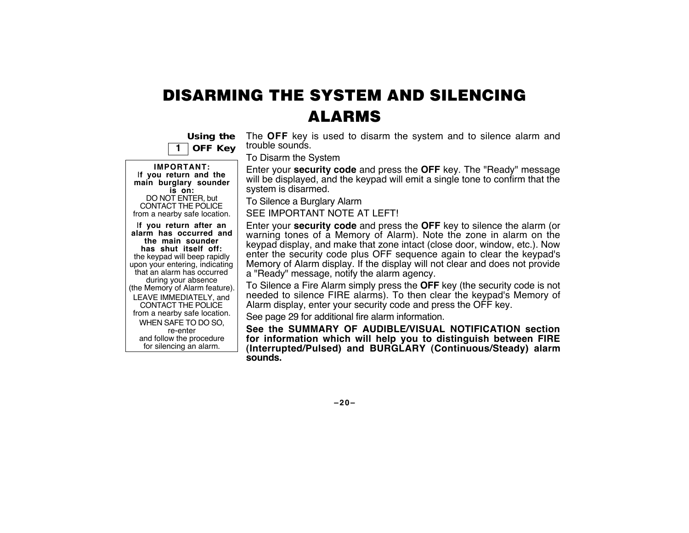# DISARMING THE SYSTEM AND SILENCING ALARMS

|  | Using the      |  |
|--|----------------|--|
|  | <b>OFF Key</b> |  |

**IMPORTANT:** I**f you return and the main burglary sounder is on:** DO NOT ENTER, but CONTACT THE POLICE from a nearby safe location. I**f you return after an**

**alarm has occurred and the main sounder has shut itself off:** the keypad will beep rapidly upon your entering, indicating that an alarm has occurred during your absence (the Memory of Alarm feature). LEAVE IMMEDIATELY, and CONTACT THE POLICE from a nearby safe location. WHEN SAFE TO DO SO, re-enter and follow the procedure for silencing an alarm.

The **OFF** key is used to disarm the system and to silence alarm and trouble sounds.

To Disarm the System

Enter your **security code** and press the **OFF** key. The "Ready" message will be displayed, and the keypad will emit a single tone to confirm that the system is disarmed.

To Silence a Burglary Alarm

SEE IMPORTANT NOTE AT LEFT!

Enter your **security code** and press the **OFF** key to silence the alarm (or warning tones of a Memory of Alarm). Note the zone in alarm on the keypad display, and make that zone intact (close door, window, etc.). Now enter the security code plus OFF sequence again to clear the keypad's Memory of Alarm display. If the display will not clear and does not provide <sup>a</sup>"Ready" message, notify the alarm agency.

To Silence a Fire Alarm simply press the **OFF** key (the security code is not needed to silence FIRE alarms). To then clear the keypad's Memory of Alarm display, enter your security code and press the OFF key.

See page 29 for additional fire alarm information.

**See the SUMMARY OF AUDIBLE/VISUAL NOTIFICATION section for information which will help you to distinguish between FIRE (Interrupted/Pulsed) and BURGLARY (Continuous/Steady) alarm sounds.**

**–20–**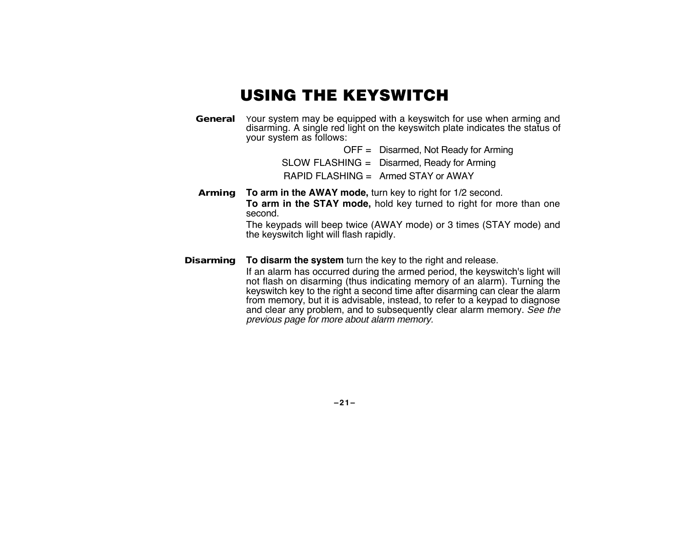# USING THE KEYSWITCH

**General** Your system may be equipped with a keyswitch for use when arming and disarming. A single red light on the keyswitch plate indicates the status of your system as follows:

> OFF = Disarmed, Not Ready for Arming SLOW FLASHING = Disarmed, Ready for Arming RAPID FLASHING = Armed STAY or AWAY

**Arming To arm in the AWAY mode,** turn key to right for 1/2 second. **To arm in the STAY mode,** hold key turned to right for more than one second.

The keypads will beep twice (AWAY mode) or 3 times (STAY mode) and the keyswitch light will flash rapidly.

**Disarming To disarm the system** turn the key to the right and release.

If an alarm has occurred during the armed period, the keyswitch's light will not flash on disarming (thus indicating memory of an alarm). Turning the keyswitch key to the right a second time after disarming can clear the alarm from memory, but it is advisable, instead, to refer to a keypad to diagnose and clear any problem, and to subsequently clear alarm memory. See the previous page for more about alarm memory.

**–21–**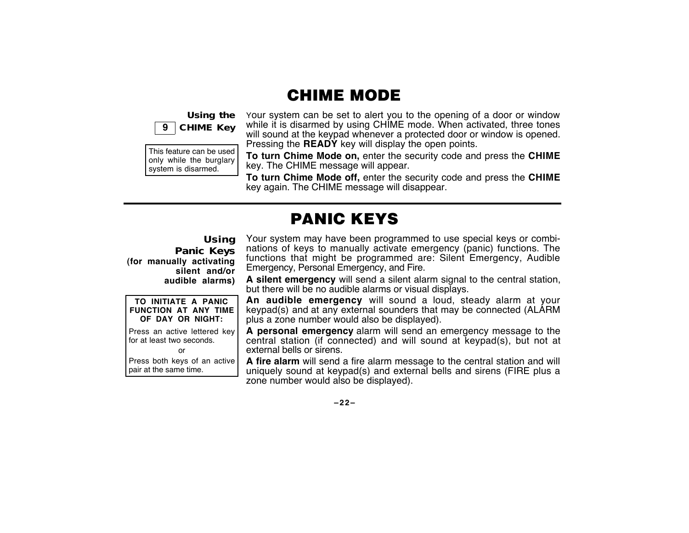### CHIME MODE



This feature can be used only while the burglary system is disarmed.

Your system can be set to alert you to the opening of a door or window while it is disarmed by using CHIME mode. When activated, three tones will sound at the keypad whenever a protected door or window is opened. Pressing the **READY** key will display the open points.

**To turn Chime Mode on,** enter the security code and press the **CHIME** key. The CHIME message will appear.

**To turn Chime Mode off,** enter the security code and press the **CHIME** key again. The CHIME message will disappear.

# PANIC KEYS

**Using Panic Keys (for manually activating silent and/or audible alarms)**

**TO INITIATE A PANIC FUNCTION AT ANY TIME OF DAY OR NIGHT:** Press an active lettered key for at least two seconds. or Press both keys of an active

pair at the same time.

Your system may have been programmed to use special keys or combinations of keys to manually activate emergency (panic) functions. The functions that might be programmed are: Silent Emergency, Audible Emergency, Personal Emergency, and Fire.

**A silent emergency** will send a silent alarm signal to the central station, but there will be no audible alarms or visual displays.

**An audible emergency** will sound a loud, steady alarm at your keypad(s) and at any external sounders that may be connected (ALARM plus a zone number would also be displayed).

**A personal emergency** alarm will send an emergency message to the central station (if connected) and will sound at keypad(s), but not at external bells or sirens.

**A fire alarm** will send a fire alarm message to the central station and will uniquely sound at keypad(s) and external bells and sirens (FIRE plus a zone number would also be displayed).

**–22–**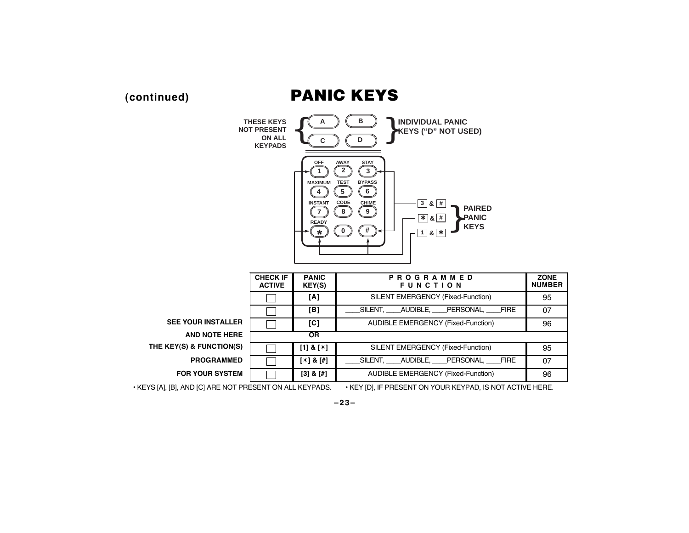## **(continued)** PANIC KEYS



**AND NOTE HERE OR THE KEY(S) & FUNCTION(S)**  $\begin{bmatrix} 1 \\ 8 \\ 4 \end{bmatrix}$  **<b>SILENT EMERGENCY (Fixed-Function)** 95

**PROGRAMMED**  $[\ast] \& [*]$   $[\ast]$   $[\bot]$   $[\bot]$   $[\bot]$   $[\bot]$   $[\bot]$   $[\bot]$   $[\bot]$   $[\bot]$   $[\bot]$   $[\bot]$   $[\bot]$   $[\bot]$   $[\bot]$   $[\bot]$   $[\bot]$   $[\bot]$   $[\bot]$   $[\bot]$   $[\bot]$   $[\bot]$   $[\bot]$   $[\bot]$   $[\bot]$   $[\bot]$   $[\bot]$   $[\bot]$   $[\bot]$   $[\bot]$   $[\bot]$   $[\bot]$   $[\bot]$   $[\bot]$ 

**FOR YOUR SYSTEM [3] & [#]** AUDIBLE EMERGENCY (Fixed-Function) 96

• KEYS [A], [B], AND [C] ARE NOT PRESENT ON ALL KEYPADS. • KEY [D], IF PRESENT ON YOUR KEYPAD, IS NOT ACTIVE HERE.

**–23–**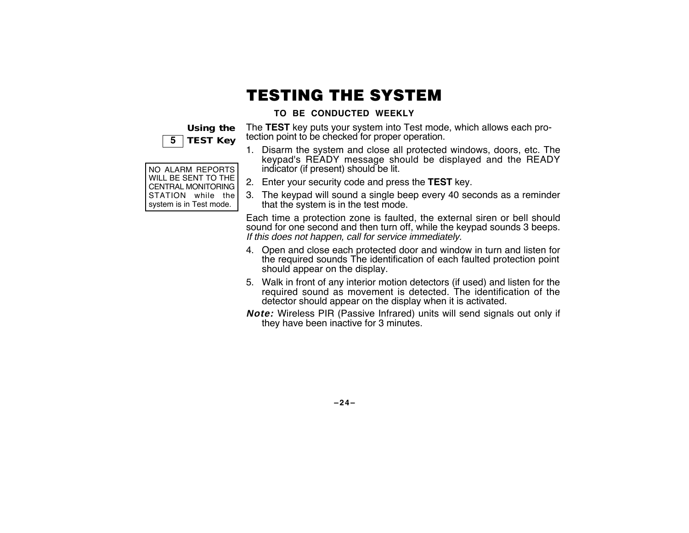# TESTING THE SYSTEM

### **TO BE CONDUCTED WEEKLY**

**Using the 5 TEST Key**

| NO ALARM REPORTS<br>WILL BE SENT TO THE<br>CENTRAL MONITORING<br>STATION while the<br>system is in Test mode. |  |
|---------------------------------------------------------------------------------------------------------------|--|
|                                                                                                               |  |
|                                                                                                               |  |
|                                                                                                               |  |
|                                                                                                               |  |

The **TEST** key puts your system into Test mode, which allows each protection point to be checked for proper operation.

- 1. Disarm the system and close all protected windows, doors, etc. The keypad's READY message should be displayed and the READY indicator (if present) should be lit.
- 2. Enter your security code and press the **TEST** key.
- 3. The keypad will sound a single beep every 40 seconds as a reminder that the system is in the test mode.

Each time a protection zone is faulted, the external siren or bell should sound for one second and then turn off, while the keypad sounds 3 beeps. If this does not happen, call for service immediately.

- 4. Open and close each protected door and window in turn and listen for the required sounds The identification of each faulted protection point should appear on the display.
- 5. Walk in front of any interior motion detectors (if used) and listen for the required sound as movement is detected. The identification of the detector should appear on the display when it is activated.
- **Note:** Wireless PIR (Passive Infrared) units will send signals out only if they have been inactive for 3 minutes.

**–24–**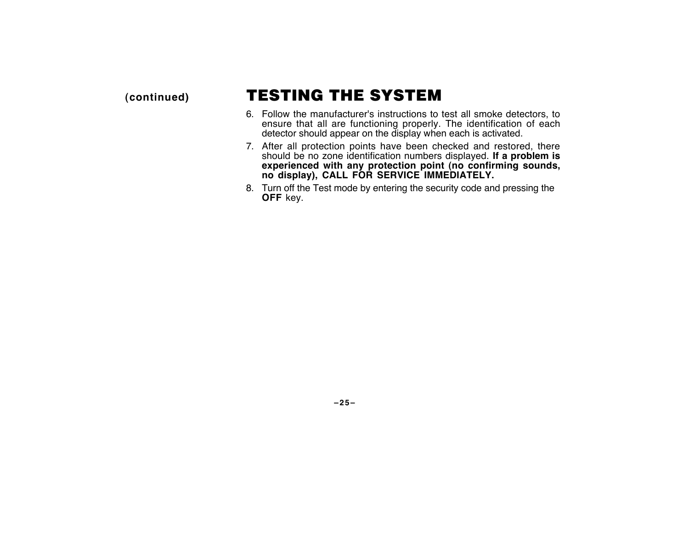# **(continued)** TESTING THE SYSTEM

- 6. Follow the manufacturer's instructions to test all smoke detectors, to ensure that all are functioning properly. The identification of each detector should appear on the display when each is activated.
- 7. After all protection points have been checked and restored, there should be no zone identification numbers displayed. **If a problem is experienced with any protection point (no confirming sounds, no display), CALL FOR SERVICE IMMEDIATELY.**
- 8. Turn off the Test mode by entering the security code and pressing the **OFF** key.

**–25–**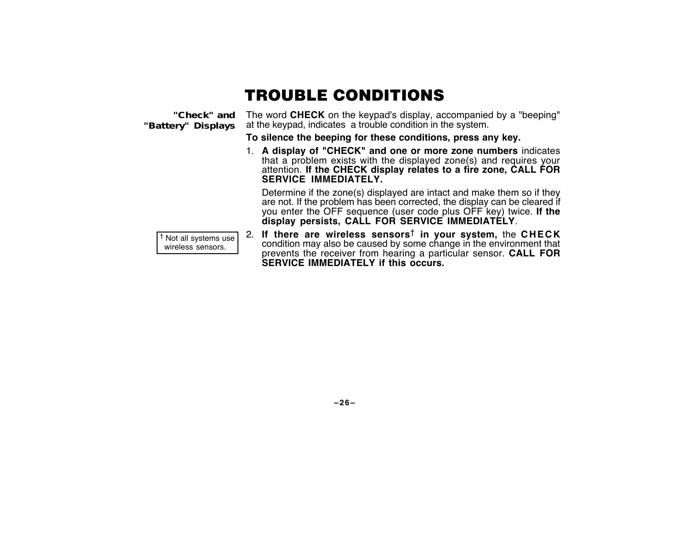# TROUBLE CONDITIONS

**"Check" and "Battery" Displays**

The word **CHECK** on the keypad's display, accompanied by a "beeping" at the keypad, indicates a trouble condition in the system.

**To silence the beeping for these conditions, press any key.**

1. **A display of "CHECK" and one or more zone numbers** indicates that a problem exists with the displayed zone(s) and requires your attention. **If the CHECK display relates to a fire zone, CALL FOR SERVICE IMMEDIATELY.**

Determine if the zone(s) displayed are intact and make them so if they are not. If the problem has been corrected, the display can be cleared if you enter the OFF sequence (user code plus OFF key) twice. **If the display persists, CALL FOR SERVICE IMMEDIATELY**.

† Not all systems use wireless sensors.

2. **If there are wireless sensors**† **in your system,** the **CHECK** condition may also be caused by some change in the environment that prevents the receiver from hearing a particular sensor. **CALL FOR SERVICE IMMEDIATELY if this occurs.**

**–26–**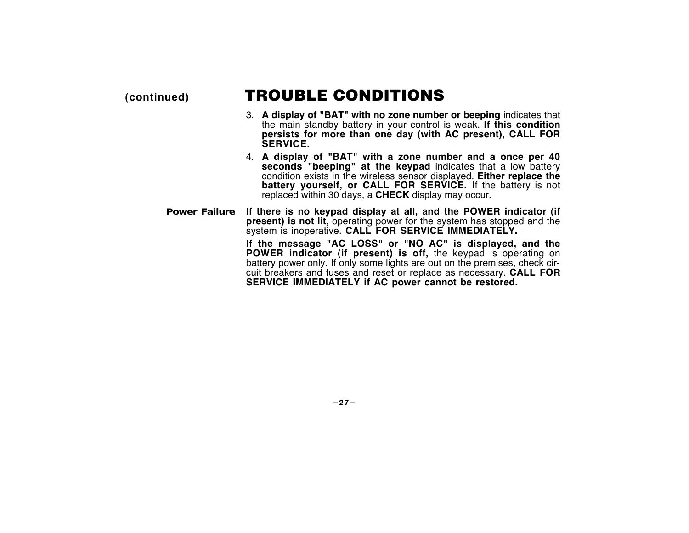## **(continued)** TROUBLE CONDITIONS

- 3. **A display of "BAT" with no zone number or beeping** indicates that the main standby battery in your control is weak. **If this condition persists for more than one day (with AC present), CALL FOR SERVICE.**
- 4. **A display of "BAT" with a zone number and a once per 40 seconds "beeping" at the keypad** indicates that a low battery condition exists in the wireless sensor displayed. **Either replace the battery yourself, or CALL FOR SERVICE.** If the battery is not replaced within 30 days, a **CHECK** display may occur.
- **Power Failure If there is no keypad display at all, and the POWER indicator (if present) is not lit,** operating power for the system has stopped and the system is inoperative. **CALL FOR SERVICE IMMEDIATELY.**

**If the message "AC LOSS" or "NO AC" is displayed, and the POWER indicator (if present) is off,** the keypad is operating on battery power only. If only some lights are out on the premises, check circuit breakers and fuses and reset or replace as necessary. **CALL FOR SERVICE IMMEDIATELY if AC power cannot be restored.**

**–27–**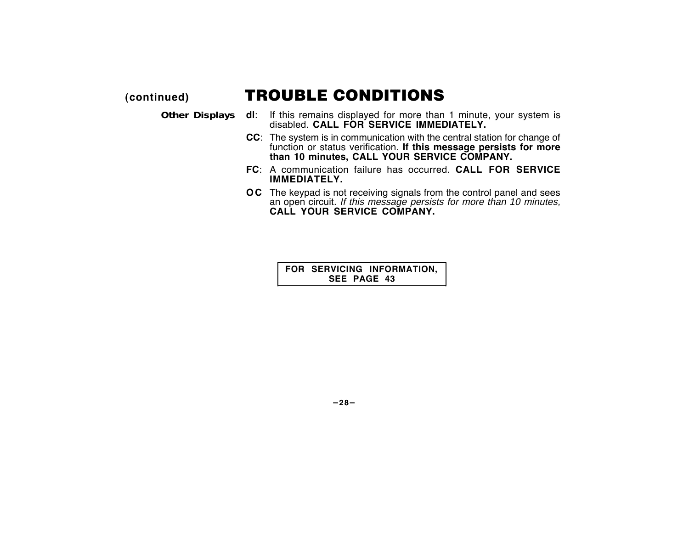### **(continued)** TROUBLE CONDITIONS

- **Other Displays dl**: If this remains displayed for more than 1 minute, your system is disabled. **CALL FOR SERVICE IMMEDIATELY.**
	- **CC**: The system is in communication with the central station for change of function or status verification. **If this message persists for more than 10 minutes, CALL YOUR SERVICE COMPANY.**
	- **FC**: A communication failure has occurred. **CALL FOR SERVICE IMMEDIATELY.**
	- **OC** The keypad is not receiving signals from the control panel and sees an open circuit. If this message persists for more than 10 minutes, **CALL YOUR SERVICE COMPANY.**

**FOR SERVICING INFORMATION, SEE PAGE 43**

**–28–**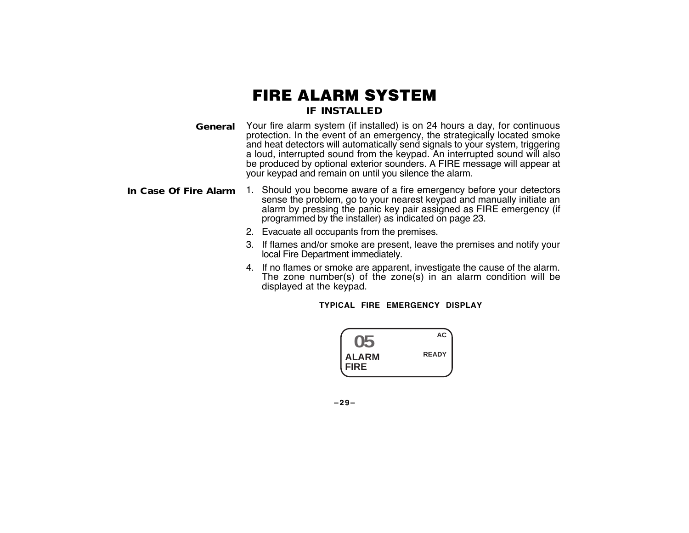### FIRE ALARM SYSTEM **IF INSTALLED**

- **General** Your fire alarm system (if installed) is on 24 hours a day, for continuous protection. In the event of an emergency, the strategically located smoke and heat detectors will automatically send signals to your system, triggering a loud, interrupted sound from the keypad. An interrupted sound will also be produced by optional exterior sounders. A FIRE message will appear at your keypad and remain on until you silence the alarm.
- **In Case Of Fire Alarm** 1. Should you become aware of a fire emergency before your detectors sense the problem, go to your nearest keypad and manually initiate an alarm by pressing the panic key pair assigned as FIRE emergency (if programmed by the installer) as indicated on page 23.
	- 2. Evacuate all occupants from the premises.
	- 3. If flames and/or smoke are present, leave the premises and notify your local Fire Department immediately.
	- 4. If no flames or smoke are apparent, investigate the cause of the alarm. The zone number(s) of the zone(s) in an alarm condition will be displayed at the keypad.

**TYPICAL FIRE EMERGENCY DISPLAY**



**–29–**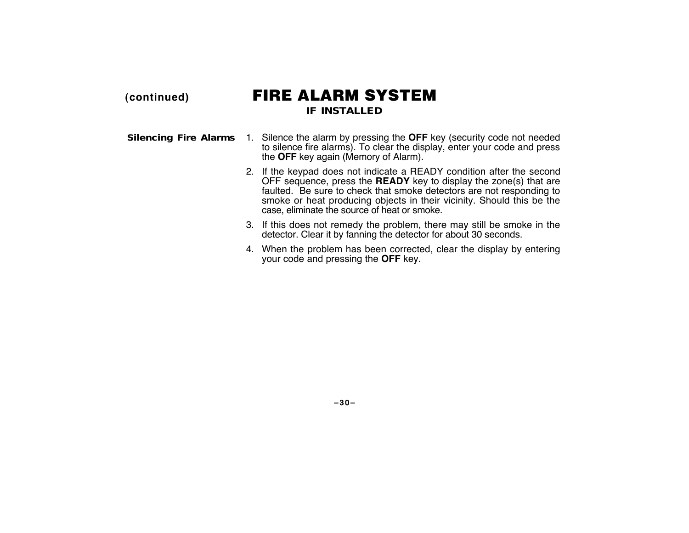### **(continued)** FIRE ALARM SYSTEM **IF INSTALLED**

- **Silencing Fire Alarms** 1. Silence the alarm by pressing the **OFF** key (security code not needed to silence fire alarms). To clear the display, enter your code and press the **OFF** key again (Memory of Alarm).
	- 2. If the keypad does not indicate a READY condition after the second OFF sequence, press the **READY** key to display the zone(s) that are faulted. Be sure to check that smoke detectors are not responding to smoke or heat producing objects in their vicinity. Should this be the case, eliminate the source of heat or smoke.
	- 3. If this does not remedy the problem, there may still be smoke in the detector. Clear it by fanning the detector for about 30 seconds.
	- 4. When the problem has been corrected, clear the display by entering your code and pressing the **OFF** key.

**–30–**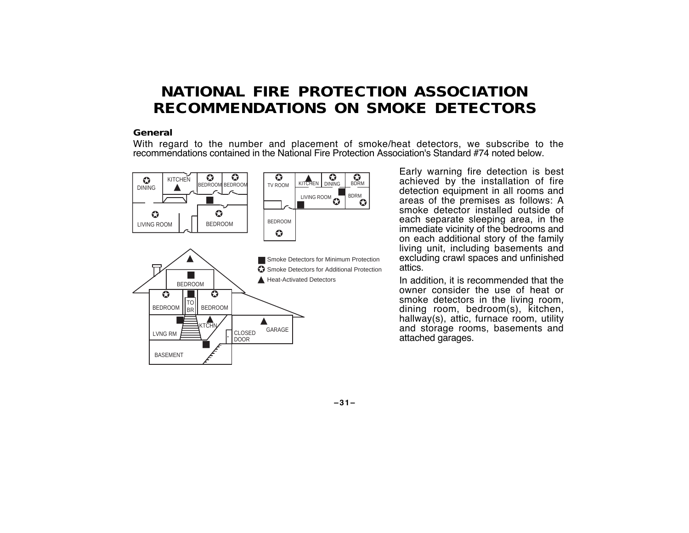### **NATIONAL FIRE PROTECTION ASSOCIATION RECOMMENDATIONS ON SMOKE DETECTORS**

#### **General**

With regard to the number and placement of smoke/heat detectors, we subscribe to the recommendations contained in the National Fire Protection Association's Standard #74 noted below.



Early warning fire detection is best achieved by the installation of fire detection equipment in all rooms and areas of the premises as follows: A smoke detector installed outside of each separate sleeping area, in the immediate vicinity of the bedrooms and on each additional story of the family living unit, including basements and excluding crawl spaces and unfinished attics.

In addition, it is recommended that the owner consider the use of heat or smoke detectors in the living room, dining room, bedroom(s), kitchen, hallway(s), attic, furnace room, utility and storage rooms, basements and attached garages.

**–31–**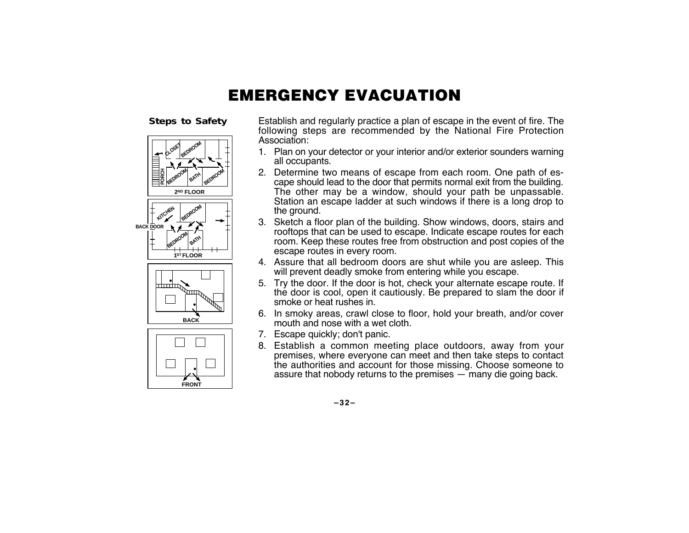# EMERGENCY EVACUATION

**Steps to Safety**



Establish and regularly practice a plan of escape in the event of fire. The following steps are recommended by the National Fire Protection Association:

- 1. Plan on your detector or your interior and/or exterior sounders warning all occupants.
- 2. Determine two means of escape from each room. One path of escape should lead to the door that permits normal exit from the building. The other may be a window, should your path be unpassable. Station an escape ladder at such windows if there is a long drop to the ground.
- 3. Sketch a floor plan of the building. Show windows, doors, stairs and rooftops that can be used to escape. Indicate escape routes for each room. Keep these routes free from obstruction and post copies of the escape routes in every room.
- 4. Assure that all bedroom doors are shut while you are asleep. This will prevent deadly smoke from entering while you escape.
- 5. Try the door. If the door is hot, check your alternate escape route. If the door is cool, open it cautiously. Be prepared to slam the door if smoke or heat rushes in.
- 6. In smoky areas, crawl close to floor, hold your breath, and/or cover mouth and nose with a wet cloth.
- 7. Escape quickly; don't panic.
- 8. Establish a common meeting place outdoors, away from your premises, where everyone can meet and then take steps to contact the authorities and account for those missing. Choose someone to assure that nobody returns to the premises — many die going back.

**–32–**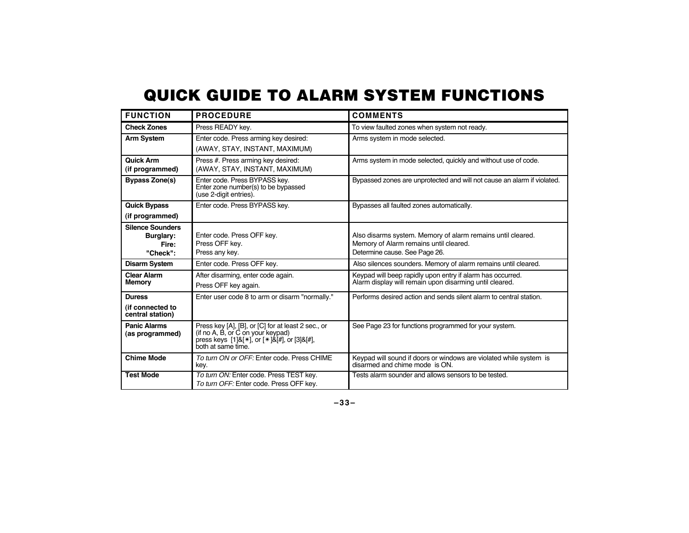# QUICK GUIDE TO ALARM SYSTEM FUNCTIONS

| <b>FUNCTION</b>                                           | <b>PROCEDURE</b>                                                                                                                                                                  | <b>COMMENTS</b>                                                                                                                        |
|-----------------------------------------------------------|-----------------------------------------------------------------------------------------------------------------------------------------------------------------------------------|----------------------------------------------------------------------------------------------------------------------------------------|
| <b>Check Zones</b>                                        | Press READY key.                                                                                                                                                                  | To view faulted zones when system not ready.                                                                                           |
| <b>Arm System</b>                                         | Enter code. Press arming key desired:                                                                                                                                             | Arms system in mode selected.                                                                                                          |
|                                                           | (AWAY, STAY, INSTANT, MAXIMUM)                                                                                                                                                    |                                                                                                                                        |
| <b>Quick Arm</b><br>(if programmed)                       | Press #. Press arming key desired:<br>(AWAY, STAY, INSTANT, MAXIMUM)                                                                                                              | Arms system in mode selected, quickly and without use of code.                                                                         |
| <b>Bypass Zone(s)</b>                                     | Enter code. Press BYPASS key.<br>Enter zone number(s) to be bypassed<br>(use 2-digit entries).                                                                                    | Bypassed zones are unprotected and will not cause an alarm if violated.                                                                |
| <b>Quick Bypass</b><br>(if programmed)                    | Enter code. Press BYPASS kev.                                                                                                                                                     | Bypasses all faulted zones automatically.                                                                                              |
| <b>Silence Sounders</b><br>Burglary:<br>Fire:<br>"Check": | Enter code. Press OFF key.<br>Press OFF key.<br>Press any key.                                                                                                                    | Also disarms system. Memory of alarm remains until cleared.<br>Memory of Alarm remains until cleared.<br>Determine cause. See Page 26. |
| <b>Disarm System</b>                                      | Enter code. Press OFF key.                                                                                                                                                        | Also silences sounders. Memory of alarm remains until cleared.                                                                         |
| <b>Clear Alarm</b><br><b>Memory</b>                       | After disarming, enter code again.<br>Press OFF key again.                                                                                                                        | Keypad will beep rapidly upon entry if alarm has occurred.<br>Alarm display will remain upon disarming until cleared.                  |
| <b>Duress</b>                                             | Enter user code 8 to arm or disarm "normally."                                                                                                                                    | Performs desired action and sends silent alarm to central station.                                                                     |
| (if connected to<br>central station)                      |                                                                                                                                                                                   |                                                                                                                                        |
| <b>Panic Alarms</b><br>(as programmed)                    | Press key [A], [B], or [C] for at least 2 sec., or<br>(if no A, B, or C on your keypad)<br>press keys $[1]$ &[ $*$ ], or $[*]$ &[ $#$ ], or $[3]$ &[ $#$ ],<br>both at same time. | See Page 23 for functions programmed for your system.                                                                                  |
| <b>Chime Mode</b>                                         | To turn ON or OFF: Enter code, Press CHIME<br>kev.                                                                                                                                | Keypad will sound if doors or windows are violated while system is<br>disarmed and chime mode is ON.                                   |
| <b>Test Mode</b>                                          | To turn ON: Enter code. Press TEST key.<br>To turn OFF. Enter code. Press OFF key.                                                                                                | Tests alarm sounder and allows sensors to be tested.                                                                                   |

**–33–**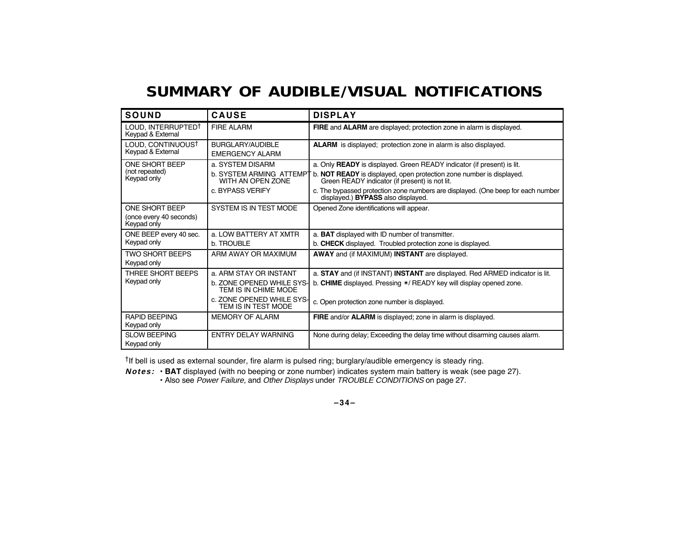# **SUMMARY OF AUDIBLE/VISUAL NOTIFICATIONS**

| <b>SOUND</b>                                             | <b>CAUSE</b>                                                                                                                    | <b>DISPLAY</b>                                                                                                                                                                                                                                                                                                             |
|----------------------------------------------------------|---------------------------------------------------------------------------------------------------------------------------------|----------------------------------------------------------------------------------------------------------------------------------------------------------------------------------------------------------------------------------------------------------------------------------------------------------------------------|
| LOUD, INTERRUPTEDT<br>Keypad & External                  | <b>FIRE ALARM</b>                                                                                                               | FIRE and ALARM are displayed; protection zone in alarm is displayed.                                                                                                                                                                                                                                                       |
| LOUD, CONTINUOUST<br>Keypad & External                   | BURGLARY/AUDIBLE<br><b>EMERGENCY ALARM</b>                                                                                      | <b>ALARM</b> is displayed; protection zone in alarm is also displayed.                                                                                                                                                                                                                                                     |
| ONE SHORT BEEP<br>(not repeated)<br>Keypad only          | a. SYSTEM DISARM<br><b>b. SYSTEM ARMING ATTEMPT</b><br>WITH AN OPEN ZONE<br>c. BYPASS VERIFY                                    | a. Only READY is displayed. Green READY indicator (if present) is lit.<br>b. NOT READY is displayed, open protection zone number is displayed.<br>Green READY indicator (if present) is not lit.<br>c. The bypassed protection zone numbers are displayed. (One beep for each number<br>displayed.) BYPASS also displayed. |
| ONE SHORT BEEP<br>(once every 40 seconds)<br>Keypad only | SYSTEM IS IN TEST MODE                                                                                                          | Opened Zone identifications will appear.                                                                                                                                                                                                                                                                                   |
| ONE BEEP every 40 sec.<br>Keypad only                    | a. LOW BATTERY AT XMTR<br>b. TROUBLE                                                                                            | a. <b>BAT</b> displayed with ID number of transmitter.<br>b. CHECK displayed. Troubled protection zone is displayed.                                                                                                                                                                                                       |
| <b>TWO SHORT BEEPS</b><br>Keypad only                    | ARM AWAY OR MAXIMUM                                                                                                             | <b>AWAY</b> and (if MAXIMUM) <b>INSTANT</b> are displayed.                                                                                                                                                                                                                                                                 |
| THREE SHORT BEEPS<br>Keypad only                         | a. ARM STAY OR INSTANT<br>b. ZONE OPENED WHILE SYS-<br>TEM IS IN CHIME MODE<br>c. ZONE OPENED WHILE SYS-<br>TEM IS IN TEST MODE | a. STAY and (if INSTANT) INSTANT are displayed. Red ARMED indicator is lit.<br>b. CHIME displayed. Pressing */ READY key will display opened zone.<br>c. Open protection zone number is displayed.                                                                                                                         |
| <b>RAPID BEEPING</b><br>Keypad only                      | <b>MEMORY OF ALARM</b>                                                                                                          | <b>FIRE</b> and/or <b>ALARM</b> is displayed; zone in alarm is displayed.                                                                                                                                                                                                                                                  |
| <b>SLOW BEEPING</b><br>Keypad only                       | ENTRY DELAY WARNING                                                                                                             | None during delay; Exceeding the delay time without disarming causes alarm.                                                                                                                                                                                                                                                |

†If bell is used as external sounder, fire alarm is pulsed ring; burglary/audible emergency is steady ring.

**Notes:** • **BAT** displayed (with no beeping or zone number) indicates system main battery is weak (see page 27).

• Also see Power Failure, and Other Displays under TROUBLE CONDITIONS on page 27.

**–34–**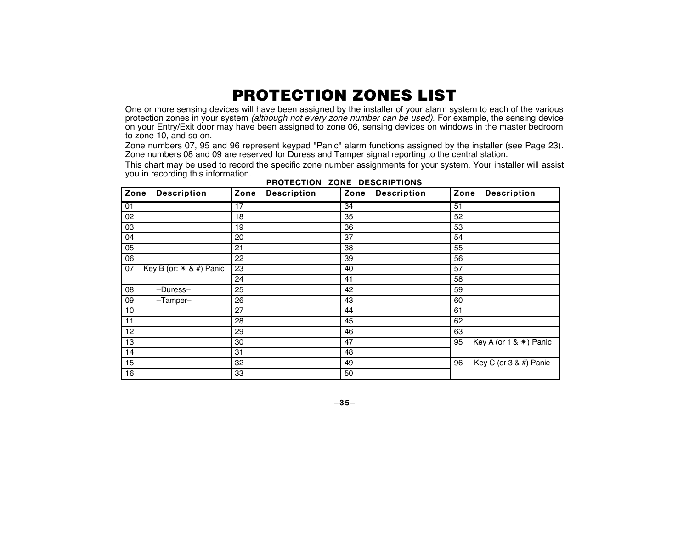# PROTECTION ZONES LIST

One or more sensing devices will have been assigned by the installer of your alarm system to each of the various protection zones in your system *(although not every zone number can be used).* For example, the sensing device on your Entry/Exit door may have been assigned to zone 06, sensing devices on windows in the master bedroom to zone 10, and so on.

Zone numbers 07, 95 and 96 represent keypad "Panic" alarm functions assigned by the installer (see Page 23). Zone numbers 08 and 09 are reserved for Duress and Tamper signal reporting to the central station.

This chart may be used to record the specific zone number assignments for your system. Your installer will assist you in recording this information.

| Zone<br><b>Description</b>      | Zone<br><b>Description</b> | Zone<br><b>Description</b> | Zone Description                       |
|---------------------------------|----------------------------|----------------------------|----------------------------------------|
| 01                              | 17                         | $\overline{34}$            | 51                                     |
| 02                              | 18                         | 35                         | 52                                     |
| 03                              | 19                         | 36                         | 53                                     |
| 04                              | 20                         | 37                         | 54                                     |
| 05                              | 21                         | 38                         | 55                                     |
| 06                              | 22                         | 39                         | 56                                     |
| Key B (or: $*$ & #) Panic<br>07 | 23                         | 40                         | 57                                     |
|                                 | 24                         | 41                         | 58                                     |
| 08<br>-Duress-                  | 25                         | 42                         | 59                                     |
| 09<br>$-Tamper-$                | 26                         | 43                         | 60                                     |
| 10                              | 27                         | 44                         | 61                                     |
| 11                              | 28                         | 45                         | 62                                     |
| 12                              | 29                         | 46                         | 63                                     |
| 13                              | 30                         | 47                         | Key A (or $1 & 8 \times$ ) Panic<br>95 |
| 14                              | 31                         | 48                         |                                        |
| 15                              | 32                         | 49                         | Key C (or 3 & #) Panic<br>96           |
| 16                              | 33                         | 50                         |                                        |

**PROTECTION ZONE DESCRIPTIONS**

**–35–**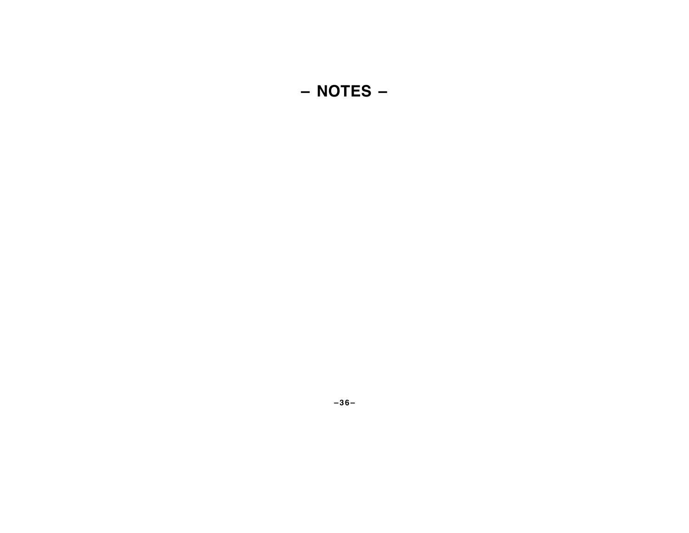# **– NOTES –**

**–36–**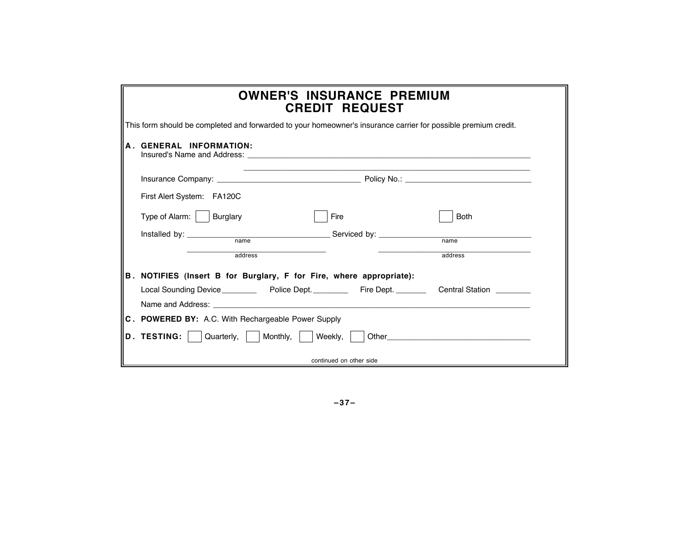| <b>OWNER'S INSURANCE PREMIUM</b><br><b>CREDIT REQUEST</b>                                                        |  |  |  |  |  |  |  |
|------------------------------------------------------------------------------------------------------------------|--|--|--|--|--|--|--|
| This form should be completed and forwarded to your homeowner's insurance carrier for possible premium credit.   |  |  |  |  |  |  |  |
| A GENERAL INFORMATION:                                                                                           |  |  |  |  |  |  |  |
|                                                                                                                  |  |  |  |  |  |  |  |
| First Alert System: FA120C                                                                                       |  |  |  |  |  |  |  |
| Type of Alarm:   Burglary<br>Fire<br><b>Both</b>                                                                 |  |  |  |  |  |  |  |
|                                                                                                                  |  |  |  |  |  |  |  |
| address<br>address                                                                                               |  |  |  |  |  |  |  |
| B. NOTIFIES (Insert B for Burglary, F for Fire, where appropriate):                                              |  |  |  |  |  |  |  |
|                                                                                                                  |  |  |  |  |  |  |  |
| Name and Address: Name and Address and Address and Address and Address and Address and Address and Address and A |  |  |  |  |  |  |  |
| C. POWERED BY: A.C. With Rechargeable Power Supply                                                               |  |  |  |  |  |  |  |
| Quarterly,     Monthly,<br>D. TESTING:<br>Weekly,                                                                |  |  |  |  |  |  |  |
| continued on other side                                                                                          |  |  |  |  |  |  |  |

**–37–**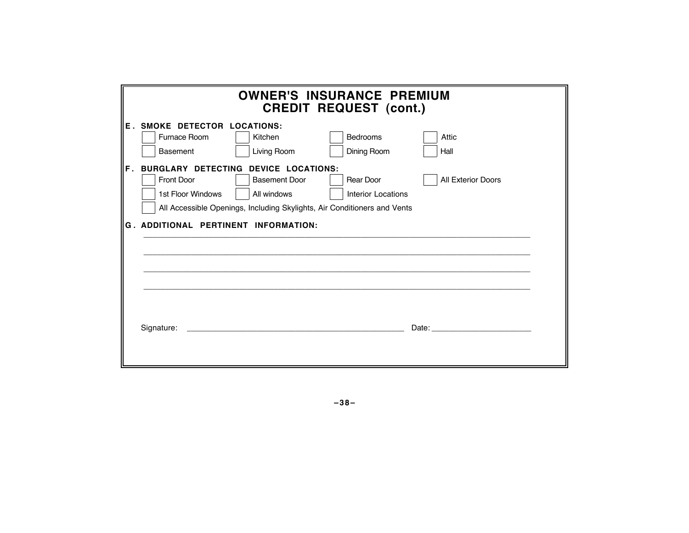|             | <b>OWNER'S INSURANCE PREMIUM</b><br><b>CREDIT REQUEST (cont.)</b>                                                                                                                                                                                                                                                              |             |             |                                                                                                                                                                                                                                |  |  |  |  |  |
|-------------|--------------------------------------------------------------------------------------------------------------------------------------------------------------------------------------------------------------------------------------------------------------------------------------------------------------------------------|-------------|-------------|--------------------------------------------------------------------------------------------------------------------------------------------------------------------------------------------------------------------------------|--|--|--|--|--|
|             | <b>E. SMOKE DETECTOR LOCATIONS:</b><br>Furnace Room                                                                                                                                                                                                                                                                            | Kitchen     | Bedrooms    | Attic                                                                                                                                                                                                                          |  |  |  |  |  |
|             | <b>Basement</b>                                                                                                                                                                                                                                                                                                                | Living Room | Dining Room | Hall                                                                                                                                                                                                                           |  |  |  |  |  |
| $F_{\perp}$ | <b>BURGLARY DETECTING DEVICE LOCATIONS:</b><br>Rear Door<br><b>All Exterior Doors</b><br><b>Front Door</b><br><b>Basement Door</b><br>1st Floor Windows<br>All windows<br><b>Interior Locations</b><br>All Accessible Openings, Including Skylights, Air Conditioners and Vents<br><b>G. ADDITIONAL PERTINENT INFORMATION:</b> |             |             |                                                                                                                                                                                                                                |  |  |  |  |  |
|             | Signature:                                                                                                                                                                                                                                                                                                                     |             |             | Date: the contract of the contract of the contract of the contract of the contract of the contract of the contract of the contract of the contract of the contract of the contract of the contract of the contract of the cont |  |  |  |  |  |

**–38–**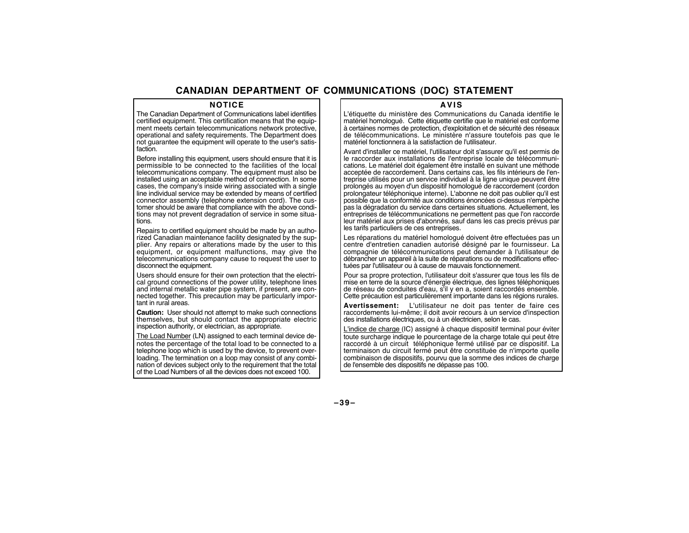### **CANADIAN DEPARTMENT OF COMMUNICATIONS (DOC) STATEMENT**

#### **NOTICE**

The Canadian Department of Communications label identifies certified equipment. This certification means that the equipment meets certain telecommunications network protective, operational and safety requirements. The Department does not guarantee the equipment will operate to the user's satisfaction.

Before installing this equipment, users should ensure that it is permissible to be connected to the facilities of the local telecommunications company. The equipment must also be installed using an acceptable method of connection. In some cases, the company's inside wiring associated with a single line individual service may be extended by means of certified connector assembly (telephone extension cord). The customer should be aware that compliance with the above conditions may not prevent degradation of service in some situations.

Repairs to certified equipment should be made by an authorized Canadian maintenance facility designated by the supplier. Any repairs or alterations made by the user to this equipment, or equipment malfunctions, may give the telecommunications company cause to request the user to disconnect the equipment.

Users should ensure for their own protection that the electrical ground connections of the power utility, telephone lines and internal metallic water pipe system, if present, are connected together. This precaution may be particularly important in rural areas.

**Caution:** User should not attempt to make such connections themselves, but should contact the appropriate electric inspection authority, or electrician, as appropriate.

The Load Number (LN) assigned to each terminal device denotes the percentage of the total load to be connected to a telephone loop which is used by the device, to prevent overloading. The termination on a loop may consist of any combination of devices subject only to the requirement that the total of the Load Numbers of all the devices does not exceed 100.

#### **AVIS**

L'étiquette du ministère des Communications du Canada identifie le matériel homologué. Cette étiquette certifie que le matériel est conforme à certaines normes de protection, d'exploitation et de sécurité des réseaux de télécommunications. Le ministère n'assure toutefois pas que le matériel fonctionnera à la satisfaction de l'utilisateur.

Avant d'installer ce matériel, l'utilisateur doit s'assurer qu'il est permis de le raccorder aux installations de l'entreprise locale de télécommunications. Le matériel doit également être installé en suivant une méthode acceptée de raccordement. Dans certains cas, les fils intérieurs de l'entreprise utilisés pour un service individuel à la ligne unique peuvent être prolongés au moyen d'un dispositif homologué de raccordement (cordon prolongateur téléphonique interne). L'abonne ne doit pas oublier qu'il est possible que la conformité aux conditions énoncées ci-dessus n'empèche pas la dégradation du service dans certaines situations. Actuellement, les entreprises de télécommunications ne permettent pas que l'on raccorde leur matériel aux prises d'abonnés, sauf dans les cas precis prévus par les tarifs particuliers de ces entreprises.

Les réparations du matériel homologué doivent être effectuées pas un centre d'entretien canadien autorisé désigné par le fournisseur. La compagnie de télécommunications peut demander à l'utilisateur de débrancher un appareil à la suite de réparations ou de modifications effectuées par l'utilisateur ou à cause de mauvais fonctionnement.

Pour sa propre protection, l'utilisateur doit s'assurer que tous les fils de mise en terre de la source d'énergie électrique, des lignes téléphoniques de réseau de conduites d'eau, s'il y en a, soient raccordés ensemble. Cette précaution est particulièrement importante dans les régions rurales.

**Avertissement:** L'utilisateur ne doit pas tenter de faire ces raccordements lui-même; il doit avoir recours à un service d'inspection des installations électriques, ou à un électricien, selon le cas.

L'indice de charge (IC) assigné à chaque dispositif terminal pour éviter toute surcharge indique le pourcentage de la charge totale qui peut être raccordé à un circuit téléphonique fermé utilisé par ce dispositif. La terminaison du circuit fermé peut être constituée de n'importe quelle combinaison de dispositifs, pourvu que la somme des indices de charge de l'ensemble des dispositifs ne dépasse pas 100.

**–39–**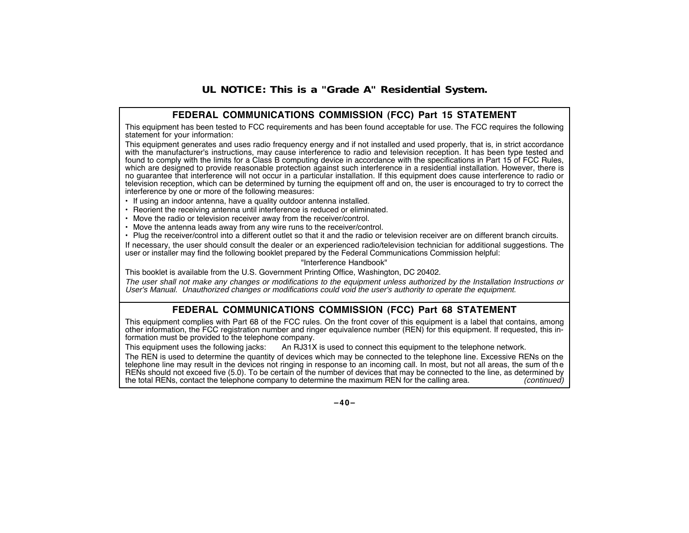### **UL NOTICE: This is a "Grade A" Residential System.**

### **FEDERAL COMMUNICATIONS COMMISSION (FCC) Part 15 STATEMENT**

This equipment has been tested to FCC requirements and has been found acceptable for use. The FCC requires the following statement for your information:

This equipment generates and uses radio frequency energy and if not installed and used properly, that is, in strict accordance with the manufacturer's instructions, may cause interference to radio and television reception. It has been type tested and found to comply with the limits for a Class B computing device in accordance with the specifications in Part 15 of FCC Rules, which are designed to provide reasonable protection against such interference in a residential installation. However, there is no guarantee that interference will not occur in a particular installation. If this equipment does cause interference to radio or television reception, which can be determined by turning the equipment off and on, the user is encouraged to try to correct the interference by one or more of the following measures:

- If using an indoor antenna, have a quality outdoor antenna installed.
- Reorient the receiving antenna until interference is reduced or eliminated.
- Move the radio or television receiver away from the receiver/control.
- Move the antenna leads away from any wire runs to the receiver/control.
- Plug the receiver/control into a different outlet so that it and the radio or television receiver are on different branch circuits.

If necessary, the user should consult the dealer or an experienced radio/television technician for additional suggestions. The user or installer may find the following booklet prepared by the Federal Communications Commission helpful:

"Interference Handbook"

This booklet is available from the U.S. Government Printing Office, Washington, DC 20402.

The user shall not make any changes or modifications to the equipment unless authorized by the Installation Instructions or User's Manual. Unauthorized changes or modifications could void the user's authority to operate the equipment.

### **FEDERAL COMMUNICATIONS COMMISSION (FCC) Part 68 STATEMENT**

This equipment complies with Part 68 of the FCC rules. On the front cover of this equipment is a label that contains, among other information, the FCC registration number and ringer equivalence number (REN) for this equipment. If requested, this information must be provided to the telephone company.

This equipment uses the following jacks: An RJ31X is used to connect this equipment to the telephone network.

The REN is used to determine the quantity of devices which may be connected to the telephone line. Excessive RENs on the telephone line may result in the devices not ringing in response to an incoming call. In most, but not all areas, the sum of th <sup>e</sup> RENs should not exceed five (5.0). To be certain of the number of devices that may be connected to the line, as determined by the total RENs, contact the telephone company to determine the maximum REN for the calling area. (continued)

**–40–**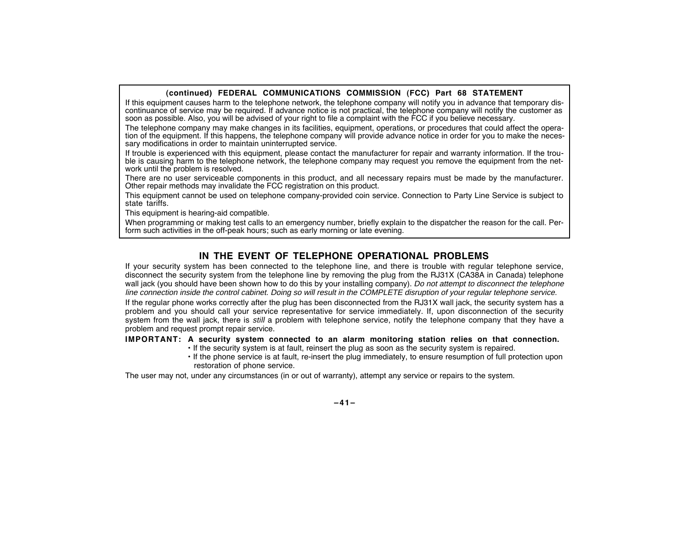#### **(continued) FEDERAL COMMUNICATIONS COMMISSION (FCC) Part 68 STATEMENT**

If this equipment causes harm to the telephone network, the telephone company will notify you in advance that temporary discontinuance of service may be required. If advance notice is not practical, the telephone company will notify the customer as soon as possible. Also, you will be advised of your right to file a complaint with the FCC if you believe necessary.

The telephone company may make changes in its facilities, equipment, operations, or procedures that could affect the operation of the equipment. If this happens, the telephone company will provide advance notice in order for you to make the necessary modifications in order to maintain uninterrupted service.

If trouble is experienced with this equipment, please contact the manufacturer for repair and warranty information. If the trouble is causing harm to the telephone network, the telephone company may request you remove the equipment from the network until the problem is resolved.

There are no user serviceable components in this product, and all necessary repairs must be made by the manufacturer. Other repair methods may invalidate the FCC registration on this product.

This equipment cannot be used on telephone company-provided coin service. Connection to Party Line Service is subject to state tariffs.

This equipment is hearing-aid compatible.

When programming or making test calls to an emergency number, briefly explain to the dispatcher the reason for the call. Perform such activities in the off-peak hours; such as early morning or late evening.

### **IN THE EVENT OF TELEPHONE OPERATIONAL PROBLEMS**

If your security system has been connected to the telephone line, and there is trouble with regular telephone service, disconnect the security system from the telephone line by removing the plug from the RJ31X (CA38A in Canada) telephone wall jack (you should have been shown how to do this by your installing company). Do not attempt to disconnect the telephone line connection inside the control cabinet. Doing so will result in the COMPLETE disruption of your regular telephone service.

If the regular phone works correctly after the plug has been disconnected from the RJ31X wall jack, the security system has a problem and you should call your service representative for service immediately. If, upon disconnection of the security system from the wall jack, there is *still* a problem with telephone service, notify the telephone company that they have a problem and request prompt repair service.

#### **IMPORTANT: A security system connected to an alarm monitoring station relies on that connection.**

- If the security system is at fault, reinsert the plug as soon as the security system is repaired.
- If the phone service is at fault, re-insert the plug immediately, to ensure resumption of full protection upon restoration of phone service.

The user may not, under any circumstances (in or out of warranty), attempt any service or repairs to the system.

**–41–**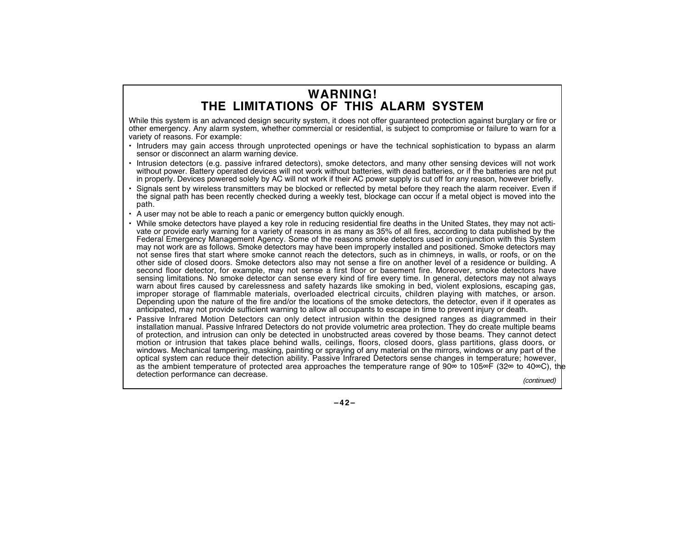### **WARNING! THE LIMITATIONS OF THIS ALARM SYSTEM**

While this system is an advanced design security system, it does not offer quaranteed protection against burglary or fire or other emergency. Any alarm system, whether commercial or residential, is subject to compromise or failure to warn for a variety of reasons. For example:

- Intruders may gain access through unprotected openings or have the technical sophistication to bypass an alarm sensor or disconnect an alarm warning device.
- • Intrusion detectors (e.g. passive infrared detectors), smoke detectors, and many other sensing devices will not work without power. Battery operated devices will not work without batteries, with dead batteries, or if the batteries are not put in properly. Devices powered solely by AC will not work if their AC power supply is cut off for any reason, however briefly.
- • Signals sent by wireless transmitters may be blocked or reflected by metal before they reach the alarm receiver. Even if the signal path has been recently checked during a weekly test, blockage can occur if a metal object is moved into the path.
- •A user may not be able to reach a panic or emergency button quickly enough.
- While smoke detectors have played a key role in reducing residential fire deaths in the United States, they may not activate or provide early warning for a variety of reasons in as many as 35% of all fires, according to data published by the Federal Emergency Management Agency. Some of the reasons smoke detectors used in conjunction with this System may not work are as follows. Smoke detectors may have been improperly installed and positioned. Smoke detectors may not sense fires that start where smoke cannot reach the detectors, such as in chimneys, in walls, or roofs, or on the other side of closed doors. Smoke detectors also may not sense a fire on another level of a residence or building. A second floor detector, for example, may not sense a first floor or basement fire. Moreover, smoke detectors have sensing limitations. No smoke detector can sense every kind of fire every time. In general, detectors may not always warn about fires caused by carelessness and safety hazards like smoking in bed, violent explosions, escaping gas, improper storage of flammable materials, overloaded electrical circuits, children playing with matches, or arson. Depending upon the nature of the fire and/or the locations of the smoke detectors, the detector, even if it operates as anticipated, may not provide sufficient warning to allow all occupants to escape in time to prevent injury or death.
- • Passive Infrared Motion Detectors can only detect intrusion within the designed ranges as diagrammed in their installation manual. Passive Infrared Detectors do not provide volumetric area protection. They do create multiple beams of protection, and intrusion can only be detected in unobstructed areas covered by those beams. They cannot detect motion or intrusion that takes place behind walls, ceilings, floors, closed doors, glass partitions, glass doors, or windows. Mechanical tampering, masking, painting or spraying of any material on the mirrors, windows or any part of the optical system can reduce their detection ability. Passive Infrared Detectors sense changes in temperature; however, as the ambient temperature of protected area approaches the temperature range of 90 $\infty$  to 105 $\infty$ F (32 $\infty$  to 40 $\infty$ C), the detection performance can decrease. The continued of the continued of the continued) (continued)

**–42–**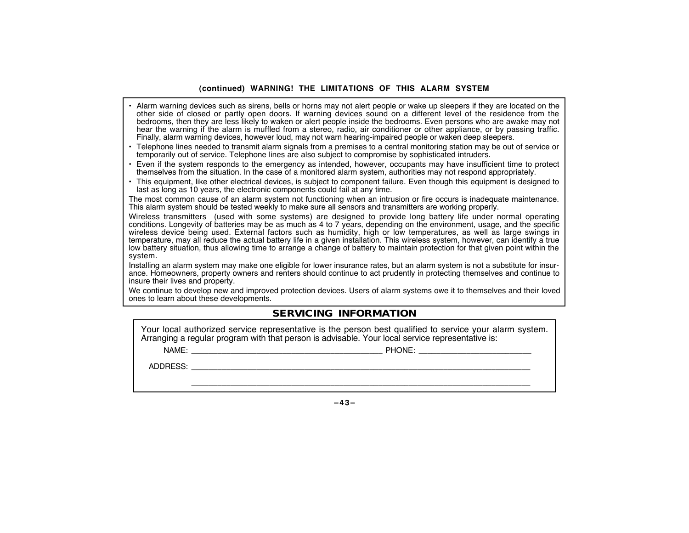#### **(continued) WARNING! THE LIMITATIONS OF THIS ALARM SYSTEM**

- • Alarm warning devices such as sirens, bells or horns may not alert people or wake up sleepers if they are located on the other side of closed or partly open doors. If warning devices sound on a different level of the residence from the bedrooms, then they are less likely to waken or alert people inside the bedrooms. Even persons who are awake may not hear the warning if the alarm is muffled from a stereo, radio, air conditioner or other appliance, or by passing traffic. Finally, alarm warning devices, however loud, may not warn hearing-impaired people or waken deep sleepers.
- • Telephone lines needed to transmit alarm signals from a premises to a central monitoring station may be out of service or temporarily out of service. Telephone lines are also subject to compromise by sophisticated intruders.
- • Even if the system responds to the emergency as intended, however, occupants may have insufficient time to protect themselves from the situation. In the case of a monitored alarm system, authorities may not respond appropriately.
- This equipment, like other electrical devices, is subject to component failure. Even though this equipment is designed to last as long as 10 years, the electronic components could fail at any time.

The most common cause of an alarm system not functioning when an intrusion or fire occurs is inadequate maintenance. This alarm system should be tested weekly to make sure all sensors and transmitters are working properly.

Wireless transmitters (used with some systems) are designed to provide long battery life under normal operating conditions. Longevity of batteries may be as much as 4 to 7 years, depending on the environment, usage, and the specific wireless device being used. External factors such as humidity, high or low temperatures, as well as large swings in temperature, may all reduce the actual battery life in a given installation. This wireless system, however, can identify a true low battery situation, thus allowing time to arrange a change of battery to maintain protection for that given point within the system.

Installing an alarm system may make one eligible for lower insurance rates, but an alarm system is not a substitute for insurance. Homeowners, property owners and renters should continue to act prudently in protecting themselves and continue to insure their lives and property.

We continue to develop new and improved protection devices. Users of alarm systems owe it to themselves and their loved ones to learn about these developments.

### **SERVICING INFORMATION**

Your local authorized service representative is the person best qualified to service your alarm system. Arranging a regular program with that person is advisable. Your local service representative is:

NAME: PHONE: \_\_\_\_\_\_\_\_\_\_\_\_\_\_\_\_\_\_\_\_\_\_\_\_\_\_ \_\_\_\_\_\_\_\_\_\_\_\_\_\_\_\_\_\_\_\_\_\_\_\_\_\_\_\_\_\_\_\_\_\_\_\_\_\_\_\_\_\_\_\_

ADDRESS: \_\_\_\_\_\_\_\_\_\_\_\_\_\_\_\_\_\_\_\_\_\_\_\_\_\_\_\_\_\_\_\_\_\_\_\_\_\_\_\_\_\_\_\_\_\_\_\_\_\_\_\_\_\_\_\_\_\_\_\_\_\_\_\_\_\_\_\_\_\_\_\_\_\_\_\_\_\_

**–43–**